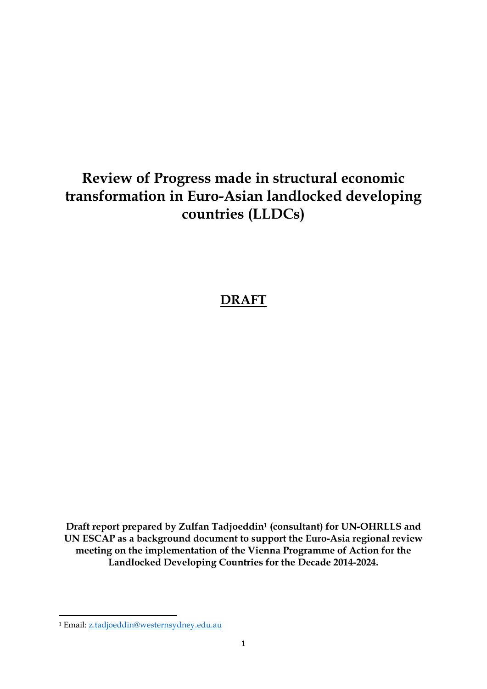# **Review of Progress made in structural economic transformation in Euro-Asian landlocked developing countries (LLDCs)**

## **DRAFT**

**Draft report prepared by Zulfan Tadjoeddin<sup>1</sup> (consultant) for UN-OHRLLS and UN ESCAP as a background document to support the Euro-Asia regional review meeting on the implementation of the Vienna Programme of Action for the Landlocked Developing Countries for the Decade 2014-2024.** 

<sup>1</sup> <sup>1</sup> Email: [z.tadjoeddin@westernsydney.edu.au](mailto:z.tadjoeddin@westernsydney.edu.au)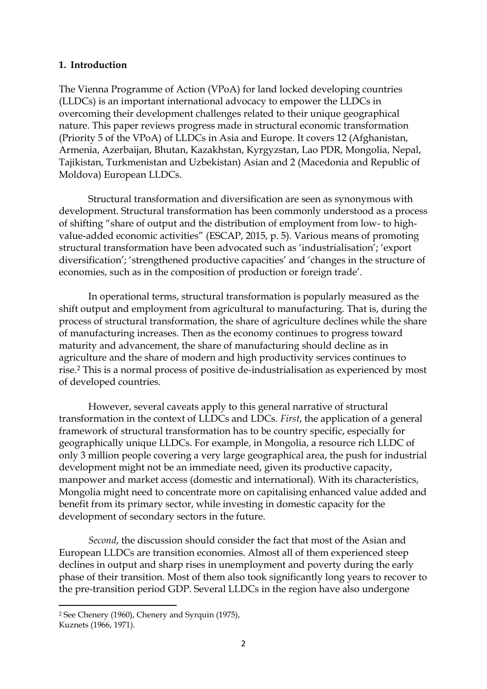#### **1. Introduction**

The Vienna Programme of Action (VPoA) for land locked developing countries (LLDCs) is an important international advocacy to empower the LLDCs in overcoming their development challenges related to their unique geographical nature. This paper reviews progress made in structural economic transformation (Priority 5 of the VPoA) of LLDCs in Asia and Europe. It covers 12 (Afghanistan, Armenia, Azerbaijan, Bhutan, Kazakhstan, Kyrgyzstan, Lao PDR, Mongolia, Nepal, Tajikistan, Turkmenistan and Uzbekistan) Asian and 2 (Macedonia and Republic of Moldova) European LLDCs.

Structural transformation and diversification are seen as synonymous with development. Structural transformation has been commonly understood as a process of shifting "share of output and the distribution of employment from low- to highvalue-added economic activities" (ESCAP, 2015, p. 5). Various means of promoting structural transformation have been advocated such as 'industrialisation'; 'export diversification'; 'strengthened productive capacities' and 'changes in the structure of economies, such as in the composition of production or foreign trade'.

In operational terms, structural transformation is popularly measured as the shift output and employment from agricultural to manufacturing. That is, during the process of structural transformation, the share of agriculture declines while the share of manufacturing increases. Then as the economy continues to progress toward maturity and advancement, the share of manufacturing should decline as in agriculture and the share of modern and high productivity services continues to rise.<sup>2</sup> This is a normal process of positive de-industrialisation as experienced by most of developed countries.

However, several caveats apply to this general narrative of structural transformation in the context of LLDCs and LDCs. *First*, the application of a general framework of structural transformation has to be country specific, especially for geographically unique LLDCs. For example, in Mongolia, a resource rich LLDC of only 3 million people covering a very large geographical area, the push for industrial development might not be an immediate need, given its productive capacity, manpower and market access (domestic and international). With its characteristics, Mongolia might need to concentrate more on capitalising enhanced value added and benefit from its primary sector, while investing in domestic capacity for the development of secondary sectors in the future.

*Second*, the discussion should consider the fact that most of the Asian and European LLDCs are transition economies. Almost all of them experienced steep declines in output and sharp rises in unemployment and poverty during the early phase of their transition. Most of them also took significantly long years to recover to the pre-transition period GDP. Several LLDCs in the region have also undergone

 $\overline{a}$ 

<sup>2</sup> See Chenery (1960), Chenery and Syrquin (1975), Kuznets (1966, 1971).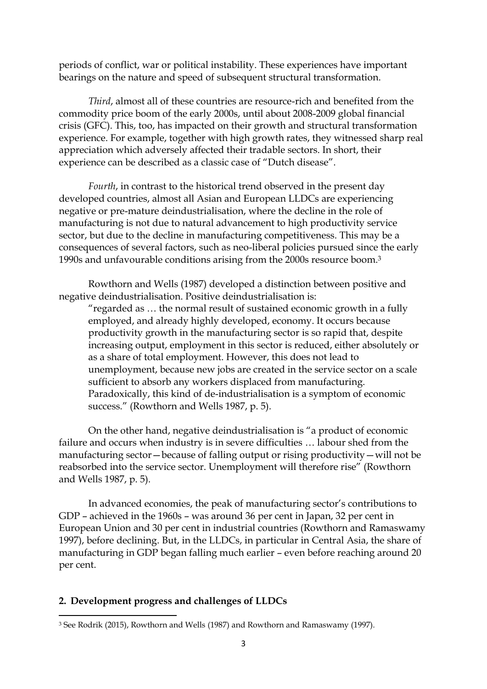periods of conflict, war or political instability. These experiences have important bearings on the nature and speed of subsequent structural transformation.

*Third*, almost all of these countries are resource-rich and benefited from the commodity price boom of the early 2000s, until about 2008-2009 global financial crisis (GFC). This, too, has impacted on their growth and structural transformation experience. For example, together with high growth rates, they witnessed sharp real appreciation which adversely affected their tradable sectors. In short, their experience can be described as a classic case of "Dutch disease".

*Fourth*, in contrast to the historical trend observed in the present day developed countries, almost all Asian and European LLDCs are experiencing negative or pre-mature deindustrialisation, where the decline in the role of manufacturing is not due to natural advancement to high productivity service sector, but due to the decline in manufacturing competitiveness. This may be a consequences of several factors, such as neo-liberal policies pursued since the early 1990s and unfavourable conditions arising from the 2000s resource boom.<sup>3</sup>

Rowthorn and Wells (1987) developed a distinction between positive and negative deindustrialisation. Positive deindustrialisation is:

"regarded as … the normal result of sustained economic growth in a fully employed, and already highly developed, economy. It occurs because productivity growth in the manufacturing sector is so rapid that, despite increasing output, employment in this sector is reduced, either absolutely or as a share of total employment. However, this does not lead to unemployment, because new jobs are created in the service sector on a scale sufficient to absorb any workers displaced from manufacturing. Paradoxically, this kind of de-industrialisation is a symptom of economic success." (Rowthorn and Wells 1987, p. 5).

On the other hand, negative deindustrialisation is "a product of economic failure and occurs when industry is in severe difficulties … labour shed from the manufacturing sector—because of falling output or rising productivity—will not be reabsorbed into the service sector. Unemployment will therefore rise" (Rowthorn and Wells 1987, p. 5).

In advanced economies, the peak of manufacturing sector's contributions to GDP – achieved in the 1960s – was around 36 per cent in Japan, 32 per cent in European Union and 30 per cent in industrial countries (Rowthorn and Ramaswamy 1997), before declining. But, in the LLDCs, in particular in Central Asia, the share of manufacturing in GDP began falling much earlier – even before reaching around 20 per cent.

#### **2. Development progress and challenges of LLDCs**

<sup>1</sup> <sup>3</sup> See Rodrik (2015), Rowthorn and Wells (1987) and Rowthorn and Ramaswamy (1997).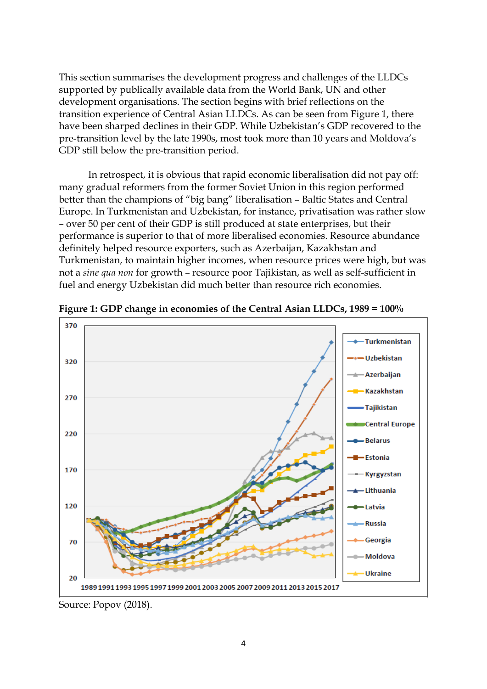This section summarises the development progress and challenges of the LLDCs supported by publically available data from the World Bank, UN and other development organisations. The section begins with brief reflections on the transition experience of Central Asian LLDCs. As can be seen from Figure 1, there have been sharped declines in their GDP. While Uzbekistan's GDP recovered to the pre-transition level by the late 1990s, most took more than 10 years and Moldova's GDP still below the pre-transition period.

In retrospect, it is obvious that rapid economic liberalisation did not pay off: many gradual reformers from the former Soviet Union in this region performed better than the champions of "big bang" liberalisation – Baltic States and Central Europe. In Turkmenistan and Uzbekistan, for instance, privatisation was rather slow – over 50 per cent of their GDP is still produced at state enterprises, but their performance is superior to that of more liberalised economies. Resource abundance definitely helped resource exporters, such as Azerbaijan, Kazakhstan and Turkmenistan, to maintain higher incomes, when resource prices were high, but was not a *sine qua non* for growth – resource poor Tajikistan, as well as self-sufficient in fuel and energy Uzbekistan did much better than resource rich economies.



**Figure 1: GDP change in economies of the Central Asian LLDCs, 1989 = 100%**

Source: Popov (2018).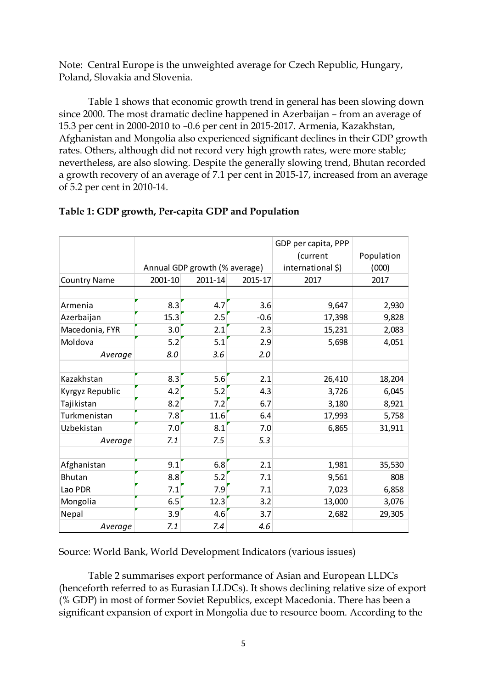Note: Central Europe is the unweighted average for Czech Republic, Hungary, Poland, Slovakia and Slovenia.

Table 1 shows that economic growth trend in general has been slowing down since 2000. The most dramatic decline happened in Azerbaijan – from an average of 15.3 per cent in 2000-2010 to –0.6 per cent in 2015-2017. Armenia, Kazakhstan, Afghanistan and Mongolia also experienced significant declines in their GDP growth rates. Others, although did not record very high growth rates, were more stable; nevertheless, are also slowing. Despite the generally slowing trend, Bhutan recorded a growth recovery of an average of 7.1 per cent in 2015-17, increased from an average of 5.2 per cent in 2010-14.

|                     |         |                               |         | GDP per capita, PPP |            |
|---------------------|---------|-------------------------------|---------|---------------------|------------|
|                     |         |                               |         | (current            | Population |
|                     |         | Annual GDP growth (% average) |         | international \$)   | (000)      |
| <b>Country Name</b> | 2001-10 | 2011-14                       | 2015-17 | 2017                | 2017       |
|                     |         |                               |         |                     |            |
| Armenia             | 8.3     | 4.7                           | 3.6     | 9,647               | 2,930      |
| Azerbaijan          | 15.3    | 2.5                           | $-0.6$  | 17,398              | 9,828      |
| Macedonia, FYR      | 3.0     | 2.1                           | 2.3     | 15,231              | 2,083      |
| Moldova             | 5.2     | 5.1                           | 2.9     | 5,698               | 4,051      |
| Average             | 8.0     | 3.6                           | 2.0     |                     |            |
|                     |         |                               |         |                     |            |
| Kazakhstan          | 8.3     | 5.6                           | 2.1     | 26,410              | 18,204     |
| Kyrgyz Republic     | 4.2     | 5.2                           | 4.3     | 3,726               | 6,045      |
| Tajikistan          | 8.2     | 7.2                           | 6.7     | 3,180               | 8,921      |
| Turkmenistan        | 7.8     | 11.6                          | 6.4     | 17,993              | 5,758      |
| Uzbekistan          | 7.0     | 8.1                           | 7.0     | 6,865               | 31,911     |
| Average             | 7.1     | 7.5                           | 5.3     |                     |            |
|                     |         |                               |         |                     |            |
| Afghanistan         | 9.1     | 6.8                           | 2.1     | 1,981               | 35,530     |
| <b>Bhutan</b>       | 8.8     | 5.2                           | 7.1     | 9,561               | 808        |
| Lao PDR             | 7.1     | 7.9                           | 7.1     | 7,023               | 6,858      |
| Mongolia            | 6.5     | 12.3                          | 3.2     | 13,000              | 3,076      |
| Nepal               | 3.9     | 4.6                           | 3.7     | 2,682               | 29,305     |
| Average             | 7.1     | 7.4                           | 4.6     |                     |            |

## **Table 1: GDP growth, Per-capita GDP and Population**

Source: World Bank, World Development Indicators (various issues)

Table 2 summarises export performance of Asian and European LLDCs (henceforth referred to as Eurasian LLDCs). It shows declining relative size of export (% GDP) in most of former Soviet Republics, except Macedonia. There has been a significant expansion of export in Mongolia due to resource boom. According to the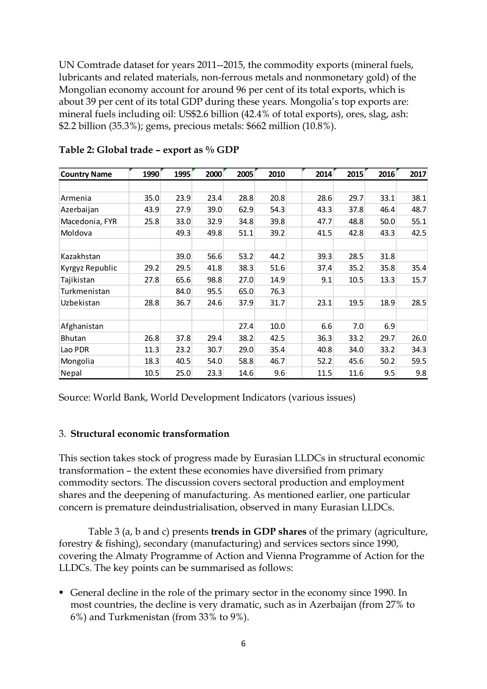UN Comtrade dataset for years 2011--2015, the commodity exports (mineral fuels, lubricants and related materials, non-ferrous metals and nonmonetary gold) of the Mongolian economy account for around 96 per cent of its total exports, which is about 39 per cent of its total GDP during these years. Mongolia's top exports are: mineral fuels including oil: US\$2.6 billion (42.4% of total exports), ores, slag, ash: \$2.2 billion (35.3%); gems, precious metals: \$662 million (10.8%).

| <b>Country Name</b> | 1990 | 1995 | 2000 | 2005 | 2010 | 2014 | 2015 | 2016 | 2017 |
|---------------------|------|------|------|------|------|------|------|------|------|
|                     |      |      |      |      |      |      |      |      |      |
| Armenia             | 35.0 | 23.9 | 23.4 | 28.8 | 20.8 | 28.6 | 29.7 | 33.1 | 38.1 |
| Azerbaijan          | 43.9 | 27.9 | 39.0 | 62.9 | 54.3 | 43.3 | 37.8 | 46.4 | 48.7 |
| Macedonia, FYR      | 25.8 | 33.0 | 32.9 | 34.8 | 39.8 | 47.7 | 48.8 | 50.0 | 55.1 |
| Moldova             |      | 49.3 | 49.8 | 51.1 | 39.2 | 41.5 | 42.8 | 43.3 | 42.5 |
|                     |      |      |      |      |      |      |      |      |      |
| Kazakhstan          |      | 39.0 | 56.6 | 53.2 | 44.2 | 39.3 | 28.5 | 31.8 |      |
| Kyrgyz Republic     | 29.2 | 29.5 | 41.8 | 38.3 | 51.6 | 37.4 | 35.2 | 35.8 | 35.4 |
| Tajikistan          | 27.8 | 65.6 | 98.8 | 27.0 | 14.9 | 9.1  | 10.5 | 13.3 | 15.7 |
| Turkmenistan        |      | 84.0 | 95.5 | 65.0 | 76.3 |      |      |      |      |
| Uzbekistan          | 28.8 | 36.7 | 24.6 | 37.9 | 31.7 | 23.1 | 19.5 | 18.9 | 28.5 |
|                     |      |      |      |      |      |      |      |      |      |
| Afghanistan         |      |      |      | 27.4 | 10.0 | 6.6  | 7.0  | 6.9  |      |
| <b>Bhutan</b>       | 26.8 | 37.8 | 29.4 | 38.2 | 42.5 | 36.3 | 33.2 | 29.7 | 26.0 |
| Lao PDR             | 11.3 | 23.2 | 30.7 | 29.0 | 35.4 | 40.8 | 34.0 | 33.2 | 34.3 |
| Mongolia            | 18.3 | 40.5 | 54.0 | 58.8 | 46.7 | 52.2 | 45.6 | 50.2 | 59.5 |
| Nepal               | 10.5 | 25.0 | 23.3 | 14.6 | 9.6  | 11.5 | 11.6 | 9.5  | 9.8  |

| Table 2: Global trade - export as % GDP |
|-----------------------------------------|
|-----------------------------------------|

Source: World Bank, World Development Indicators (various issues)

#### 3. **Structural economic transformation**

This section takes stock of progress made by Eurasian LLDCs in structural economic transformation – the extent these economies have diversified from primary commodity sectors. The discussion covers sectoral production and employment shares and the deepening of manufacturing. As mentioned earlier, one particular concern is premature deindustrialisation, observed in many Eurasian LLDCs.

Table 3 (a, b and c) presents **trends in GDP shares** of the primary (agriculture, forestry & fishing), secondary (manufacturing) and services sectors since 1990, covering the Almaty Programme of Action and Vienna Programme of Action for the LLDCs. The key points can be summarised as follows:

▪ General decline in the role of the primary sector in the economy since 1990. In most countries, the decline is very dramatic, such as in Azerbaijan (from 27% to 6%) and Turkmenistan (from 33% to 9%).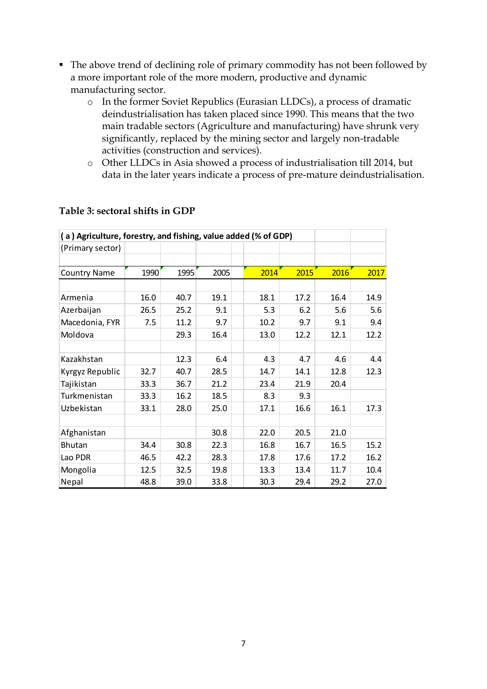- The above trend of declining role of primary commodity has not been followed by a more important role of the more modern, productive and dynamic manufacturing sector.
	- o In the former Soviet Republics (Eurasian LLDCs), a process of dramatic deindustrialisation has taken placed since 1990. This means that the two main tradable sectors (Agriculture and manufacturing) have shrunk very significantly, replaced by the mining sector and largely non-tradable activities (construction and services).
	- o Other LLDCs in Asia showed a process of industrialisation till 2014, but data in the later years indicate a process of pre-mature deindustrialisation.

| (a) Agriculture, forestry, and fishing, value added (% of GDP) |      |      |      |  |      |      |      |      |  |  |  |  |  |
|----------------------------------------------------------------|------|------|------|--|------|------|------|------|--|--|--|--|--|
| (Primary sector)                                               |      |      |      |  |      |      |      |      |  |  |  |  |  |
|                                                                |      |      |      |  |      |      |      |      |  |  |  |  |  |
| <b>Country Name</b>                                            | 1990 | 1995 | 2005 |  | 2014 | 2015 | 2016 | 2017 |  |  |  |  |  |
|                                                                |      |      |      |  |      |      |      |      |  |  |  |  |  |
| Armenia                                                        | 16.0 | 40.7 | 19.1 |  | 18.1 | 17.2 | 16.4 | 14.9 |  |  |  |  |  |
| Azerbaijan                                                     | 26.5 | 25.2 | 9.1  |  | 5.3  | 6.2  | 5.6  | 5.6  |  |  |  |  |  |
| Macedonia, FYR                                                 | 7.5  | 11.2 | 9.7  |  | 10.2 | 9.7  | 9.1  | 9.4  |  |  |  |  |  |
| Moldova                                                        |      | 29.3 | 16.4 |  | 13.0 | 12.2 | 12.1 | 12.2 |  |  |  |  |  |
|                                                                |      |      |      |  |      |      |      |      |  |  |  |  |  |
| Kazakhstan                                                     |      | 12.3 | 6.4  |  | 4.3  | 4.7  | 4.6  | 4.4  |  |  |  |  |  |
| Kyrgyz Republic                                                | 32.7 | 40.7 | 28.5 |  | 14.7 | 14.1 | 12.8 | 12.3 |  |  |  |  |  |
| Tajikistan                                                     | 33.3 | 36.7 | 21.2 |  | 23.4 | 21.9 | 20.4 |      |  |  |  |  |  |
| Turkmenistan                                                   | 33.3 | 16.2 | 18.5 |  | 8.3  | 9.3  |      |      |  |  |  |  |  |
| Uzbekistan                                                     | 33.1 | 28.0 | 25.0 |  | 17.1 | 16.6 | 16.1 | 17.3 |  |  |  |  |  |
|                                                                |      |      |      |  |      |      |      |      |  |  |  |  |  |
| Afghanistan                                                    |      |      | 30.8 |  | 22.0 | 20.5 | 21.0 |      |  |  |  |  |  |
| <b>Bhutan</b>                                                  | 34.4 | 30.8 | 22.3 |  | 16.8 | 16.7 | 16.5 | 15.2 |  |  |  |  |  |
| Lao PDR                                                        | 46.5 | 42.2 | 28.3 |  | 17.8 | 17.6 | 17.2 | 16.2 |  |  |  |  |  |
| Mongolia                                                       | 12.5 | 32.5 | 19.8 |  | 13.3 | 13.4 | 11.7 | 10.4 |  |  |  |  |  |
| Nepal                                                          | 48.8 | 39.0 | 33.8 |  | 30.3 | 29.4 | 29.2 | 27.0 |  |  |  |  |  |

#### **Table 3: sectoral shifts in GDP**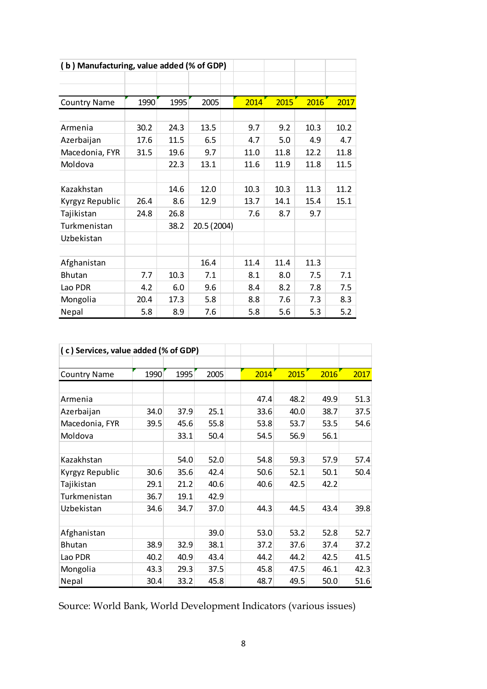|                     | (b) Manufacturing, value added (% of GDP) |      |             |  |      |      |      |      |  |  |  |  |  |  |
|---------------------|-------------------------------------------|------|-------------|--|------|------|------|------|--|--|--|--|--|--|
|                     |                                           |      |             |  |      |      |      |      |  |  |  |  |  |  |
|                     |                                           |      |             |  |      |      |      |      |  |  |  |  |  |  |
| <b>Country Name</b> | 1990                                      | 1995 | 2005        |  | 2014 | 2015 | 2016 | 2017 |  |  |  |  |  |  |
|                     |                                           |      |             |  |      |      |      |      |  |  |  |  |  |  |
| Armenia             | 30.2                                      | 24.3 | 13.5        |  | 9.7  | 9.2  | 10.3 | 10.2 |  |  |  |  |  |  |
| Azerbaijan          | 17.6                                      | 11.5 | 6.5         |  | 4.7  | 5.0  | 4.9  | 4.7  |  |  |  |  |  |  |
| Macedonia, FYR      | 31.5                                      | 19.6 | 9.7         |  | 11.0 | 11.8 | 12.2 | 11.8 |  |  |  |  |  |  |
| Moldova             |                                           | 22.3 | 13.1        |  | 11.6 | 11.9 | 11.8 | 11.5 |  |  |  |  |  |  |
|                     |                                           |      |             |  |      |      |      |      |  |  |  |  |  |  |
| Kazakhstan          |                                           | 14.6 | 12.0        |  | 10.3 | 10.3 | 11.3 | 11.2 |  |  |  |  |  |  |
| Kyrgyz Republic     | 26.4                                      | 8.6  | 12.9        |  | 13.7 | 14.1 | 15.4 | 15.1 |  |  |  |  |  |  |
| Tajikistan          | 24.8                                      | 26.8 |             |  | 7.6  | 8.7  | 9.7  |      |  |  |  |  |  |  |
| Turkmenistan        |                                           | 38.2 | 20.5 (2004) |  |      |      |      |      |  |  |  |  |  |  |
| Uzbekistan          |                                           |      |             |  |      |      |      |      |  |  |  |  |  |  |
|                     |                                           |      |             |  |      |      |      |      |  |  |  |  |  |  |
| Afghanistan         |                                           |      | 16.4        |  | 11.4 | 11.4 | 11.3 |      |  |  |  |  |  |  |
| <b>Bhutan</b>       | 7.7                                       | 10.3 | 7.1         |  | 8.1  | 8.0  | 7.5  | 7.1  |  |  |  |  |  |  |
| Lao PDR             | 4.2                                       | 6.0  | 9.6         |  | 8.4  | 8.2  | 7.8  | 7.5  |  |  |  |  |  |  |
| Mongolia            | 20.4                                      | 17.3 | 5.8         |  | 8.8  | 7.6  | 7.3  | 8.3  |  |  |  |  |  |  |
| Nepal               | 5.8                                       | 8.9  | 7.6         |  | 5.8  | 5.6  | 5.3  | 5.2  |  |  |  |  |  |  |

| (c) Services, value added (% of GDP) |      |      |      |      |      |      |      |
|--------------------------------------|------|------|------|------|------|------|------|
|                                      |      |      |      |      |      |      |      |
| <b>Country Name</b>                  | 1990 | 1995 | 2005 | 2014 | 2015 | 2016 | 2017 |
|                                      |      |      |      |      |      |      |      |
| Armenia                              |      |      |      | 47.4 | 48.2 | 49.9 | 51.3 |
| Azerbaijan                           | 34.0 | 37.9 | 25.1 | 33.6 | 40.0 | 38.7 | 37.5 |
| Macedonia, FYR                       | 39.5 | 45.6 | 55.8 | 53.8 | 53.7 | 53.5 | 54.6 |
| Moldova                              |      | 33.1 | 50.4 | 54.5 | 56.9 | 56.1 |      |
|                                      |      |      |      |      |      |      |      |
| Kazakhstan                           |      | 54.0 | 52.0 | 54.8 | 59.3 | 57.9 | 57.4 |
| Kyrgyz Republic                      | 30.6 | 35.6 | 42.4 | 50.6 | 52.1 | 50.1 | 50.4 |
| Tajikistan                           | 29.1 | 21.2 | 40.6 | 40.6 | 42.5 | 42.2 |      |
| Turkmenistan                         | 36.7 | 19.1 | 42.9 |      |      |      |      |
| Uzbekistan                           | 34.6 | 34.7 | 37.0 | 44.3 | 44.5 | 43.4 | 39.8 |
|                                      |      |      |      |      |      |      |      |
| Afghanistan                          |      |      | 39.0 | 53.0 | 53.2 | 52.8 | 52.7 |
| <b>Bhutan</b>                        | 38.9 | 32.9 | 38.1 | 37.2 | 37.6 | 37.4 | 37.2 |
| Lao PDR                              | 40.2 | 40.9 | 43.4 | 44.2 | 44.2 | 42.5 | 41.5 |
| Mongolia                             | 43.3 | 29.3 | 37.5 | 45.8 | 47.5 | 46.1 | 42.3 |
| Nepal                                | 30.4 | 33.2 | 45.8 | 48.7 | 49.5 | 50.0 | 51.6 |

Source: World Bank, World Development Indicators (various issues)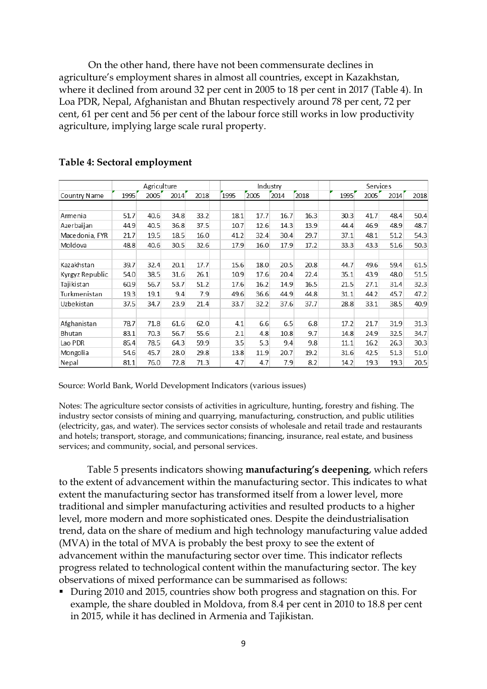On the other hand, there have not been commensurate declines in agriculture's employment shares in almost all countries, except in Kazakhstan, where it declined from around 32 per cent in 2005 to 18 per cent in 2017 (Table 4). In Loa PDR, Nepal, Afghanistan and Bhutan respectively around 78 per cent, 72 per cent, 61 per cent and 56 per cent of the labour force still works in low productivity agriculture, implying large scale rural property.

|                 |      | Agriculture |      |      |      |              | Industry |      |      | Services |      |      |
|-----------------|------|-------------|------|------|------|--------------|----------|------|------|----------|------|------|
| Country Name    | 1995 | 2005        | 2014 | 2018 | 1995 | 2005         | 2014     | 2018 | 1995 | 2005     | 2014 | 2018 |
|                 |      |             |      |      |      |              |          |      |      |          |      |      |
| Armenia         | 51.7 | 40.6        | 34.8 | 33.2 |      | 17.7<br>18.1 | 16.7     | 16.3 | 30.3 | 41.7     | 48.4 | 50.4 |
| Azerbaijan      | 44.9 | 40.5        | 36.8 | 37.5 |      | 12.6<br>10.7 | 14.3     | 13.9 | 44.4 | 46.9     | 48.9 | 48.7 |
| Macedonia, FYR  | 21.7 | 19.5        | 18.5 | 16.0 | 41.2 | 32.4         | 30.4     | 29.7 | 37.1 | 48.1     | 51.2 | 54.3 |
| Moldova         | 48.8 | 40.6        | 30.5 | 32.6 |      | 17.9<br>16.0 | 17.9     | 17.2 | 33.3 | 43.3     | 51.6 | 50.3 |
|                 |      |             |      |      |      |              |          |      |      |          |      |      |
| Kazakhstan      | 39.7 | 32.4        | 20.1 | 17.7 |      | 15.6<br>18.0 | 20.5     | 20.8 | 44.7 | 49.6     | 59.4 | 61.5 |
| Kyrgyz Republic | 54.0 | 38.5        | 31.6 | 26.1 |      | 10.9<br>17.6 | 20.4     | 22.4 | 35.1 | 43.9     | 48.0 | 51.5 |
| Tajikistan      | 60.9 | 56.7        | 53.7 | 51.2 |      | 16.2<br>17.6 | 14.9     | 16.5 | 21.5 | 27.1     | 31.4 | 32.3 |
| Turkmenistan    | 19.3 | 19.1        | 9.4  | 7.9  |      | 49.6<br>36.6 | 44.9     | 44.8 | 31.1 | 44.2     | 45.7 | 47.2 |
| Uzbekistan      | 37.5 | 34.7        | 23.9 | 21.4 | 33.7 | 32.2         | 37.6     | 37.7 | 28.8 | 33.1     | 38.5 | 40.9 |
|                 |      |             |      |      |      |              |          |      |      |          |      |      |
| Afghanistan     | 78.7 | 71.8        | 61.6 | 62.0 |      | 6.6<br>4.1   | 6.5      | 6.8  | 17.2 | 21.7     | 31.9 | 31.3 |
| Bhutan          | 83.1 | 70.3        | 56.7 | 55.6 |      | 2.1<br>4.8   | 10.8     | 9.7  | 14.8 | 24.9     | 32.5 | 34.7 |
| Lao PDR         | 85.4 | 78.5        | 64.3 | 59.9 |      | 5.3<br>3.5   | 9.4      | 9.8  | 11.1 | 16.2     | 26.3 | 30.3 |
| Mongolia        | 54.6 | 45.7        | 28.0 | 29.8 |      | 13.8<br>11.9 | 20.7     | 19.2 | 31.6 | 42.5     | 51.3 | 51.0 |
| Nepal           | 81.1 | 76.0        | 72.8 | 71.3 |      | 4.7<br>4.7   | 7.9      | 8.2  | 14.2 | 19.3     | 19.3 | 20.5 |

#### **Table 4: Sectoral employment**

Source: World Bank, World Development Indicators (various issues)

Notes: The agriculture sector consists of activities in agriculture, hunting, forestry and fishing. The industry sector consists of mining and quarrying, manufacturing, construction, and public utilities (electricity, gas, and water). The services sector consists of wholesale and retail trade and restaurants and hotels; transport, storage, and communications; financing, insurance, real estate, and business services; and community, social, and personal services.

Table 5 presents indicators showing **manufacturing's deepening**, which refers to the extent of advancement within the manufacturing sector. This indicates to what extent the manufacturing sector has transformed itself from a lower level, more traditional and simpler manufacturing activities and resulted products to a higher level, more modern and more sophisticated ones. Despite the deindustrialisation trend, data on the share of medium and high technology manufacturing value added (MVA) in the total of MVA is probably the best proxy to see the extent of advancement within the manufacturing sector over time. This indicator reflects progress related to technological content within the manufacturing sector. The key observations of mixed performance can be summarised as follows:

▪ During 2010 and 2015, countries show both progress and stagnation on this. For example, the share doubled in Moldova, from 8.4 per cent in 2010 to 18.8 per cent in 2015, while it has declined in Armenia and Tajikistan.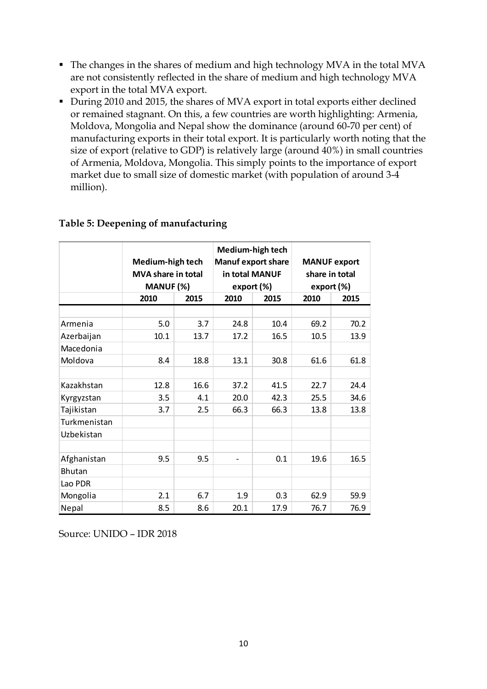- The changes in the shares of medium and high technology MVA in the total MVA are not consistently reflected in the share of medium and high technology MVA export in the total MVA export.
- During 2010 and 2015, the shares of MVA export in total exports either declined or remained stagnant. On this, a few countries are worth highlighting: Armenia, Moldova, Mongolia and Nepal show the dominance (around 60-70 per cent) of manufacturing exports in their total export. It is particularly worth noting that the size of export (relative to GDP) is relatively large (around 40%) in small countries of Armenia, Moldova, Mongolia. This simply points to the importance of export market due to small size of domestic market (with population of around 3-4 million).

|               | Medium-high tech<br><b>MVA share in total</b><br>MANUF (%) |      | Medium-high tech<br><b>Manuf export share</b><br>in total MANUF<br>export (%) |      | <b>MANUF export</b><br>share in total<br>export (%) |      |  |  |
|---------------|------------------------------------------------------------|------|-------------------------------------------------------------------------------|------|-----------------------------------------------------|------|--|--|
|               | 2010                                                       | 2015 | 2010                                                                          | 2015 | 2010                                                | 2015 |  |  |
|               |                                                            |      |                                                                               |      |                                                     |      |  |  |
| Armenia       | 5.0                                                        | 3.7  | 24.8                                                                          | 10.4 | 69.2                                                | 70.2 |  |  |
| Azerbaijan    | 10.1                                                       | 13.7 | 17.2                                                                          | 16.5 | 10.5                                                | 13.9 |  |  |
| Macedonia     |                                                            |      |                                                                               |      |                                                     |      |  |  |
| Moldova       | 8.4                                                        | 18.8 | 13.1                                                                          | 30.8 | 61.6                                                | 61.8 |  |  |
|               |                                                            |      |                                                                               |      |                                                     |      |  |  |
| Kazakhstan    | 12.8                                                       | 16.6 | 37.2                                                                          | 41.5 | 22.7                                                | 24.4 |  |  |
| Kyrgyzstan    | 3.5                                                        | 4.1  | 20.0                                                                          | 42.3 | 25.5                                                | 34.6 |  |  |
| Tajikistan    | 3.7                                                        | 2.5  | 66.3                                                                          | 66.3 | 13.8                                                | 13.8 |  |  |
| Turkmenistan  |                                                            |      |                                                                               |      |                                                     |      |  |  |
| Uzbekistan    |                                                            |      |                                                                               |      |                                                     |      |  |  |
|               |                                                            |      |                                                                               |      |                                                     |      |  |  |
| Afghanistan   | 9.5                                                        | 9.5  |                                                                               | 0.1  | 19.6                                                | 16.5 |  |  |
| <b>Bhutan</b> |                                                            |      |                                                                               |      |                                                     |      |  |  |
| Lao PDR       |                                                            |      |                                                                               |      |                                                     |      |  |  |
| Mongolia      | 2.1                                                        | 6.7  | 1.9                                                                           | 0.3  | 62.9                                                | 59.9 |  |  |
| Nepal         | 8.5                                                        | 8.6  | 20.1                                                                          | 17.9 | 76.7                                                | 76.9 |  |  |

#### **Table 5: Deepening of manufacturing**

Source: UNIDO – IDR 2018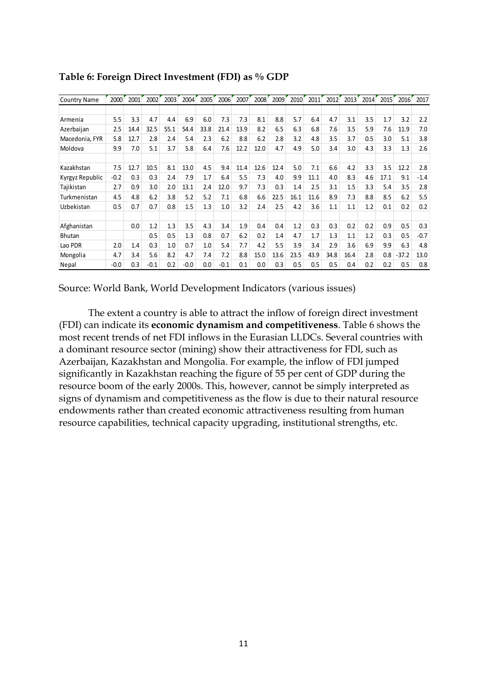| <b>Country Name</b> | 2000   | 2001 | 2002   | 2003 | 2004   | 2005 | 2006   | 2007 | 2008 | 2009 | 2010 | 2011 | 2012 | 2013 | 2014 | 2015 | 2016    | 2017   |
|---------------------|--------|------|--------|------|--------|------|--------|------|------|------|------|------|------|------|------|------|---------|--------|
|                     |        |      |        |      |        |      |        |      |      |      |      |      |      |      |      |      |         |        |
| Armenia             | 5.5    | 3.3  | 4.7    | 4.4  | 6.9    | 6.0  | 7.3    | 7.3  | 8.1  | 8.8  | 5.7  | 6.4  | 4.7  | 3.1  | 3.5  | 1.7  | 3.2     | 2.2    |
| Azerbaijan          | 2.5    | 14.4 | 32.5   | 55.1 | 54.4   | 33.8 | 21.4   | 13.9 | 8.2  | 6.5  | 6.3  | 6.8  | 7.6  | 3.5  | 5.9  | 7.6  | 11.9    | 7.0    |
| Macedonia, FYR      | 5.8    | 12.7 | 2.8    | 2.4  | 5.4    | 2.3  | 6.2    | 8.8  | 6.2  | 2.8  | 3.2  | 4.8  | 3.5  | 3.7  | 0.5  | 3.0  | 5.1     | 3.8    |
| Moldova             | 9.9    | 7.0  | 5.1    | 3.7  | 5.8    | 6.4  | 7.6    | 12.2 | 12.0 | 4.7  | 4.9  | 5.0  | 3.4  | 3.0  | 4.3  | 3.3  | 1.3     | 2.6    |
| Kazakhstan          | 7.5    | 12.7 | 10.5   | 8.1  | 13.0   | 4.5  | 9.4    | 11.4 | 12.6 | 12.4 | 5.0  | 7.1  | 6.6  | 4.2  | 3.3  | 3.5  | 12.2    | 2.8    |
| Kyrgyz Republic     | $-0.2$ | 0.3  | 0.3    | 2.4  | 7.9    | 1.7  | 6.4    | 5.5  | 7.3  | 4.0  | 9.9  | 11.1 | 4.0  | 8.3  | 4.6  | 17.1 | 9.1     | $-1.4$ |
| Tajikistan          | 2.7    | 0.9  | 3.0    | 2.0  | 13.1   | 2.4  | 12.0   | 9.7  | 7.3  | 0.3  | 1.4  | 2.5  | 3.1  | 1.5  | 3.3  | 5.4  | 3.5     | 2.8    |
| Turkmenistan        | 4.5    | 4.8  | 6.2    | 3.8  | 5.2    | 5.2  | 7.1    | 6.8  | 6.6  | 22.5 | 16.1 | 11.6 | 8.9  | 7.3  | 8.8  | 8.5  | 6.2     | 5.5    |
| Uzbekistan          | 0.5    | 0.7  | 0.7    | 0.8  | 1.5    | 1.3  | 1.0    | 3.2  | 2.4  | 2.5  | 4.2  | 3.6  | 1.1  | 1.1  | 1.2  | 0.1  | 0.2     | 0.2    |
| Afghanistan         |        | 0.0  | 1.2    | 1.3  | 3.5    | 4.3  | 3.4    | 1.9  | 0.4  | 0.4  | 1.2  | 0.3  | 0.3  | 0.2  | 0.2  | 0.9  | 0.5     | 0.3    |
| <b>Bhutan</b>       |        |      | 0.5    | 0.5  | 1.3    | 0.8  | 0.7    | 6.2  | 0.2  | 1.4  | 4.7  | 1.7  | 1.3  | 1.1  | 1.2  | 0.3  | 0.5     | $-0.7$ |
| Lao PDR             | 2.0    | 1.4  | 0.3    | 1.0  | 0.7    | 1.0  | 5.4    | 7.7  | 4.2  | 5.5  | 3.9  | 3.4  | 2.9  | 3.6  | 6.9  | 9.9  | 6.3     | 4.8    |
| Mongolia            | 4.7    | 3.4  | 5.6    | 8.2  | 4.7    | 7.4  | 7.2    | 8.8  | 15.0 | 13.6 | 23.5 | 43.9 | 34.8 | 16.4 | 2.8  | 0.8  | $-37.2$ | 13.0   |
| Nepal               | $-0.0$ | 0.3  | $-0.1$ | 0.2  | $-0.0$ | 0.0  | $-0.1$ | 0.1  | 0.0  | 0.3  | 0.5  | 0.5  | 0.5  | 0.4  | 0.2  | 0.2  | 0.5     | 0.8    |

**Table 6: Foreign Direct Investment (FDI) as % GDP**

Source: World Bank, World Development Indicators (various issues)

The extent a country is able to attract the inflow of foreign direct investment (FDI) can indicate its **economic dynamism and competitiveness**. Table 6 shows the most recent trends of net FDI inflows in the Eurasian LLDCs. Several countries with a dominant resource sector (mining) show their attractiveness for FDI, such as Azerbaijan, Kazakhstan and Mongolia. For example, the inflow of FDI jumped significantly in Kazakhstan reaching the figure of 55 per cent of GDP during the resource boom of the early 2000s. This, however, cannot be simply interpreted as signs of dynamism and competitiveness as the flow is due to their natural resource endowments rather than created economic attractiveness resulting from human resource capabilities, technical capacity upgrading, institutional strengths, etc.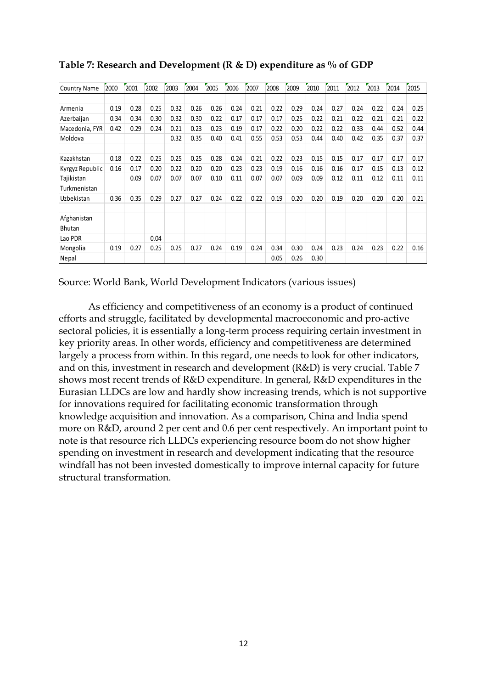| <b>Country Name</b> | 2000 | 2001 | 2002 | 2003 | 2004 | 2005 | 2006 | 2007 | 2008 | 2009 | 2010 | 2011 | 2012 | 2013 | 2014 | 2015 |
|---------------------|------|------|------|------|------|------|------|------|------|------|------|------|------|------|------|------|
|                     |      |      |      |      |      |      |      |      |      |      |      |      |      |      |      |      |
| Armenia             | 0.19 | 0.28 | 0.25 | 0.32 | 0.26 | 0.26 | 0.24 | 0.21 | 0.22 | 0.29 | 0.24 | 0.27 | 0.24 | 0.22 | 0.24 | 0.25 |
| Azerbaijan          | 0.34 | 0.34 | 0.30 | 0.32 | 0.30 | 0.22 | 0.17 | 0.17 | 0.17 | 0.25 | 0.22 | 0.21 | 0.22 | 0.21 | 0.21 | 0.22 |
| Macedonia, FYR      | 0.42 | 0.29 | 0.24 | 0.21 | 0.23 | 0.23 | 0.19 | 0.17 | 0.22 | 0.20 | 0.22 | 0.22 | 0.33 | 0.44 | 0.52 | 0.44 |
| Moldova             |      |      |      | 0.32 | 0.35 | 0.40 | 0.41 | 0.55 | 0.53 | 0.53 | 0.44 | 0.40 | 0.42 | 0.35 | 0.37 | 0.37 |
|                     |      |      |      |      |      |      |      |      |      |      |      |      |      |      |      |      |
| Kazakhstan          | 0.18 | 0.22 | 0.25 | 0.25 | 0.25 | 0.28 | 0.24 | 0.21 | 0.22 | 0.23 | 0.15 | 0.15 | 0.17 | 0.17 | 0.17 | 0.17 |
| Kyrgyz Republic     | 0.16 | 0.17 | 0.20 | 0.22 | 0.20 | 0.20 | 0.23 | 0.23 | 0.19 | 0.16 | 0.16 | 0.16 | 0.17 | 0.15 | 0.13 | 0.12 |
| Tajikistan          |      | 0.09 | 0.07 | 0.07 | 0.07 | 0.10 | 0.11 | 0.07 | 0.07 | 0.09 | 0.09 | 0.12 | 0.11 | 0.12 | 0.11 | 0.11 |
| Turkmenistan        |      |      |      |      |      |      |      |      |      |      |      |      |      |      |      |      |
| Uzbekistan          | 0.36 | 0.35 | 0.29 | 0.27 | 0.27 | 0.24 | 0.22 | 0.22 | 0.19 | 0.20 | 0.20 | 0.19 | 0.20 | 0.20 | 0.20 | 0.21 |
| Afghanistan         |      |      |      |      |      |      |      |      |      |      |      |      |      |      |      |      |
| <b>Bhutan</b>       |      |      |      |      |      |      |      |      |      |      |      |      |      |      |      |      |
| Lao PDR             |      |      | 0.04 |      |      |      |      |      |      |      |      |      |      |      |      |      |
| Mongolia            | 0.19 | 0.27 | 0.25 | 0.25 | 0.27 | 0.24 | 0.19 | 0.24 | 0.34 | 0.30 | 0.24 | 0.23 | 0.24 | 0.23 | 0.22 | 0.16 |
| Nepal               |      |      |      |      |      |      |      |      | 0.05 | 0.26 | 0.30 |      |      |      |      |      |

**Table 7: Research and Development (R & D) expenditure as % of GDP**

Source: World Bank, World Development Indicators (various issues)

As efficiency and competitiveness of an economy is a product of continued efforts and struggle, facilitated by developmental macroeconomic and pro-active sectoral policies, it is essentially a long-term process requiring certain investment in key priority areas. In other words, efficiency and competitiveness are determined largely a process from within. In this regard, one needs to look for other indicators, and on this, investment in research and development (R&D) is very crucial. Table 7 shows most recent trends of R&D expenditure. In general, R&D expenditures in the Eurasian LLDCs are low and hardly show increasing trends, which is not supportive for innovations required for facilitating economic transformation through knowledge acquisition and innovation. As a comparison, China and India spend more on R&D, around 2 per cent and 0.6 per cent respectively. An important point to note is that resource rich LLDCs experiencing resource boom do not show higher spending on investment in research and development indicating that the resource windfall has not been invested domestically to improve internal capacity for future structural transformation.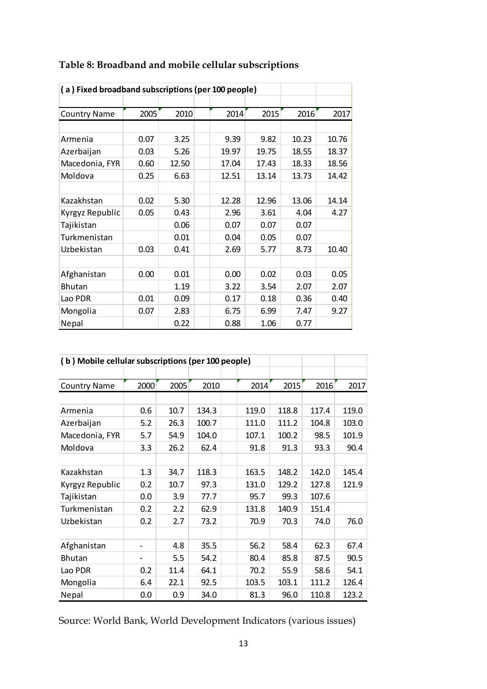| (a) Fixed broadband subscriptions (per 100 people) |      |       |       |       |       |       |
|----------------------------------------------------|------|-------|-------|-------|-------|-------|
|                                                    |      |       |       |       |       |       |
| <b>Country Name</b>                                | 2005 | 2010  | 2014  | 2015  | 2016  | 2017  |
|                                                    |      |       |       |       |       |       |
| Armenia                                            | 0.07 | 3.25  | 9.39  | 9.82  | 10.23 | 10.76 |
| Azerbaijan                                         | 0.03 | 5.26  | 19.97 | 19.75 | 18.55 | 18.37 |
| Macedonia, FYR                                     | 0.60 | 12.50 | 17.04 | 17.43 | 18.33 | 18.56 |
| Moldova                                            | 0.25 | 6.63  | 12.51 | 13.14 | 13.73 | 14.42 |
|                                                    |      |       |       |       |       |       |
| Kazakhstan                                         | 0.02 | 5.30  | 12.28 | 12.96 | 13.06 | 14.14 |
| Kyrgyz Republic                                    | 0.05 | 0.43  | 2.96  | 3.61  | 4.04  | 4.27  |
| Tajikistan                                         |      | 0.06  | 0.07  | 0.07  | 0.07  |       |
| Turkmenistan                                       |      | 0.01  | 0.04  | 0.05  | 0.07  |       |
| Uzbekistan                                         | 0.03 | 0.41  | 2.69  | 5.77  | 8.73  | 10.40 |
|                                                    |      |       |       |       |       |       |
| Afghanistan                                        | 0.00 | 0.01  | 0.00  | 0.02  | 0.03  | 0.05  |
| <b>Bhutan</b>                                      |      | 1.19  | 3.22  | 3.54  | 2.07  | 2.07  |
| Lao PDR                                            | 0.01 | 0.09  | 0.17  | 0.18  | 0.36  | 0.40  |
| Mongolia                                           | 0.07 | 2.83  | 6.75  | 6.99  | 7.47  | 9.27  |
| Nepal                                              |      | 0.22  | 0.88  | 1.06  | 0.77  |       |

## **Table 8: Broadband and mobile cellular subscriptions**

| (b) Mobile cellular subscriptions (per 100 people) |      |      |       |       |       |       |       |
|----------------------------------------------------|------|------|-------|-------|-------|-------|-------|
|                                                    |      |      |       |       |       |       |       |
| <b>Country Name</b>                                | 2000 | 2005 | 2010  | 2014  | 2015  | 2016  | 2017  |
|                                                    |      |      |       |       |       |       |       |
| Armenia                                            | 0.6  | 10.7 | 134.3 | 119.0 | 118.8 | 117.4 | 119.0 |
| Azerbaijan                                         | 5.2  | 26.3 | 100.7 | 111.0 | 111.2 | 104.8 | 103.0 |
| Macedonia, FYR                                     | 5.7  | 54.9 | 104.0 | 107.1 | 100.2 | 98.5  | 101.9 |
| Moldova                                            | 3.3  | 26.2 | 62.4  | 91.8  | 91.3  | 93.3  | 90.4  |
|                                                    |      |      |       |       |       |       |       |
| Kazakhstan                                         | 1.3  | 34.7 | 118.3 | 163.5 | 148.2 | 142.0 | 145.4 |
| Kyrgyz Republic                                    | 0.2  | 10.7 | 97.3  | 131.0 | 129.2 | 127.8 | 121.9 |
| Tajikistan                                         | 0.0  | 3.9  | 77.7  | 95.7  | 99.3  | 107.6 |       |
| Turkmenistan                                       | 0.2  | 2.2  | 62.9  | 131.8 | 140.9 | 151.4 |       |
| Uzbekistan                                         | 0.2  | 2.7  | 73.2  | 70.9  | 70.3  | 74.0  | 76.0  |
|                                                    |      |      |       |       |       |       |       |
| Afghanistan                                        |      | 4.8  | 35.5  | 56.2  | 58.4  | 62.3  | 67.4  |
| <b>Bhutan</b>                                      |      | 5.5  | 54.2  | 80.4  | 85.8  | 87.5  | 90.5  |
| Lao PDR                                            | 0.2  | 11.4 | 64.1  | 70.2  | 55.9  | 58.6  | 54.1  |
| Mongolia                                           | 6.4  | 22.1 | 92.5  | 103.5 | 103.1 | 111.2 | 126.4 |
| Nepal                                              | 0.0  | 0.9  | 34.0  | 81.3  | 96.0  | 110.8 | 123.2 |

Source: World Bank, World Development Indicators (various issues)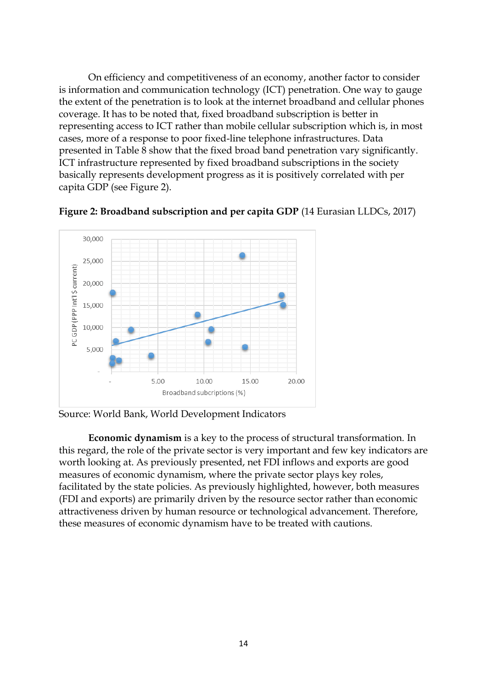On efficiency and competitiveness of an economy, another factor to consider is information and communication technology (ICT) penetration. One way to gauge the extent of the penetration is to look at the internet broadband and cellular phones coverage. It has to be noted that, fixed broadband subscription is better in representing access to ICT rather than mobile cellular subscription which is, in most cases, more of a response to poor fixed-line telephone infrastructures. Data presented in Table 8 show that the fixed broad band penetration vary significantly. ICT infrastructure represented by fixed broadband subscriptions in the society basically represents development progress as it is positively correlated with per capita GDP (see Figure 2).





Source: World Bank, World Development Indicators

**Economic dynamism** is a key to the process of structural transformation. In this regard, the role of the private sector is very important and few key indicators are worth looking at. As previously presented, net FDI inflows and exports are good measures of economic dynamism, where the private sector plays key roles, facilitated by the state policies. As previously highlighted, however, both measures (FDI and exports) are primarily driven by the resource sector rather than economic attractiveness driven by human resource or technological advancement. Therefore, these measures of economic dynamism have to be treated with cautions.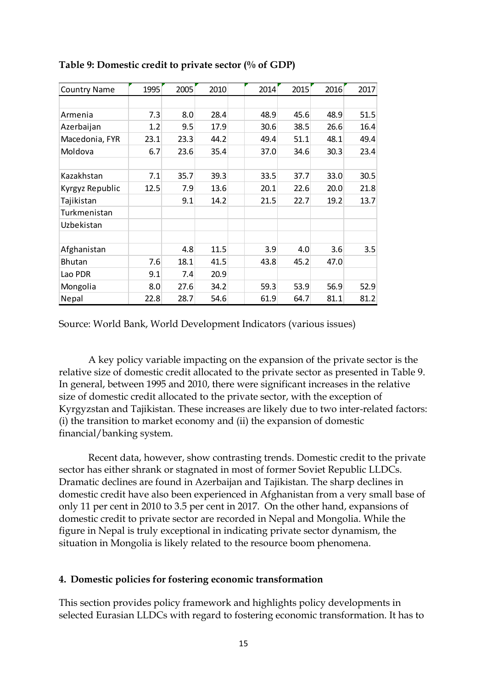| <b>Country Name</b> | 1995 | 2005 | 2010 | 2014 | 2015 | 2016 | 2017 |
|---------------------|------|------|------|------|------|------|------|
|                     |      |      |      |      |      |      |      |
| Armenia             | 7.3  | 8.0  | 28.4 | 48.9 | 45.6 | 48.9 | 51.5 |
| Azerbaijan          | 1.2  | 9.5  | 17.9 | 30.6 | 38.5 | 26.6 | 16.4 |
| Macedonia, FYR      | 23.1 | 23.3 | 44.2 | 49.4 | 51.1 | 48.1 | 49.4 |
| Moldova             | 6.7  | 23.6 | 35.4 | 37.0 | 34.6 | 30.3 | 23.4 |
|                     |      |      |      |      |      |      |      |
| Kazakhstan          | 7.1  | 35.7 | 39.3 | 33.5 | 37.7 | 33.0 | 30.5 |
| Kyrgyz Republic     | 12.5 | 7.9  | 13.6 | 20.1 | 22.6 | 20.0 | 21.8 |
| Tajikistan          |      | 9.1  | 14.2 | 21.5 | 22.7 | 19.2 | 13.7 |
| Turkmenistan        |      |      |      |      |      |      |      |
| Uzbekistan          |      |      |      |      |      |      |      |
|                     |      |      |      |      |      |      |      |
| Afghanistan         |      | 4.8  | 11.5 | 3.9  | 4.0  | 3.6  | 3.5  |
| <b>Bhutan</b>       | 7.6  | 18.1 | 41.5 | 43.8 | 45.2 | 47.0 |      |
| Lao PDR             | 9.1  | 7.4  | 20.9 |      |      |      |      |
| Mongolia            | 8.0  | 27.6 | 34.2 | 59.3 | 53.9 | 56.9 | 52.9 |
| Nepal               | 22.8 | 28.7 | 54.6 | 61.9 | 64.7 | 81.1 | 81.2 |

**Table 9: Domestic credit to private sector (% of GDP)** 

Source: World Bank, World Development Indicators (various issues)

A key policy variable impacting on the expansion of the private sector is the relative size of domestic credit allocated to the private sector as presented in Table 9. In general, between 1995 and 2010, there were significant increases in the relative size of domestic credit allocated to the private sector, with the exception of Kyrgyzstan and Tajikistan. These increases are likely due to two inter-related factors: (i) the transition to market economy and (ii) the expansion of domestic financial/banking system.

Recent data, however, show contrasting trends. Domestic credit to the private sector has either shrank or stagnated in most of former Soviet Republic LLDCs. Dramatic declines are found in Azerbaijan and Tajikistan. The sharp declines in domestic credit have also been experienced in Afghanistan from a very small base of only 11 per cent in 2010 to 3.5 per cent in 2017. On the other hand, expansions of domestic credit to private sector are recorded in Nepal and Mongolia. While the figure in Nepal is truly exceptional in indicating private sector dynamism, the situation in Mongolia is likely related to the resource boom phenomena.

#### **4. Domestic policies for fostering economic transformation**

This section provides policy framework and highlights policy developments in selected Eurasian LLDCs with regard to fostering economic transformation. It has to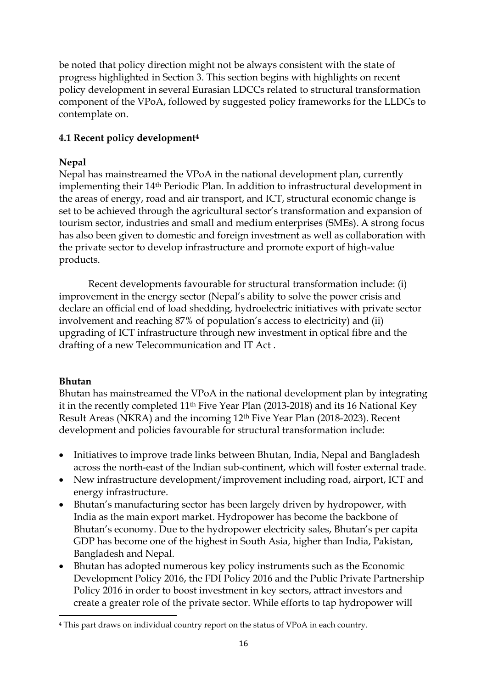be noted that policy direction might not be always consistent with the state of progress highlighted in Section 3. This section begins with highlights on recent policy development in several Eurasian LDCCs related to structural transformation component of the VPoA, followed by suggested policy frameworks for the LLDCs to contemplate on.

## **4.1 Recent policy development<sup>4</sup>**

## **Nepal**

Nepal has mainstreamed the VPoA in the national development plan, currently implementing their 14th Periodic Plan. In addition to infrastructural development in the areas of energy, road and air transport, and ICT, structural economic change is set to be achieved through the agricultural sector's transformation and expansion of tourism sector, industries and small and medium enterprises (SMEs). A strong focus has also been given to domestic and foreign investment as well as collaboration with the private sector to develop infrastructure and promote export of high-value products.

Recent developments favourable for structural transformation include: (i) improvement in the energy sector (Nepal's ability to solve the power crisis and declare an official end of load shedding, hydroelectric initiatives with private sector involvement and reaching 87% of population's access to electricity) and (ii) upgrading of ICT infrastructure through new investment in optical fibre and the drafting of a new Telecommunication and IT Act .

## **Bhutan**

Bhutan has mainstreamed the VPoA in the national development plan by integrating it in the recently completed 11th Five Year Plan (2013-2018) and its 16 National Key Result Areas (NKRA) and the incoming 12th Five Year Plan (2018-2023). Recent development and policies favourable for structural transformation include:

- Initiatives to improve trade links between Bhutan, India, Nepal and Bangladesh across the north-east of the Indian sub-continent, which will foster external trade.
- New infrastructure development/improvement including road, airport, ICT and energy infrastructure.
- Bhutan's manufacturing sector has been largely driven by hydropower, with India as the main export market. Hydropower has become the backbone of Bhutan's economy. Due to the hydropower electricity sales, Bhutan's per capita GDP has become one of the highest in South Asia, higher than India, Pakistan, Bangladesh and Nepal.
- Bhutan has adopted numerous key policy instruments such as the Economic Development Policy 2016, the FDI Policy 2016 and the Public Private Partnership Policy 2016 in order to boost investment in key sectors, attract investors and create a greater role of the private sector. While efforts to tap hydropower will

<sup>1</sup> <sup>4</sup> This part draws on individual country report on the status of VPoA in each country.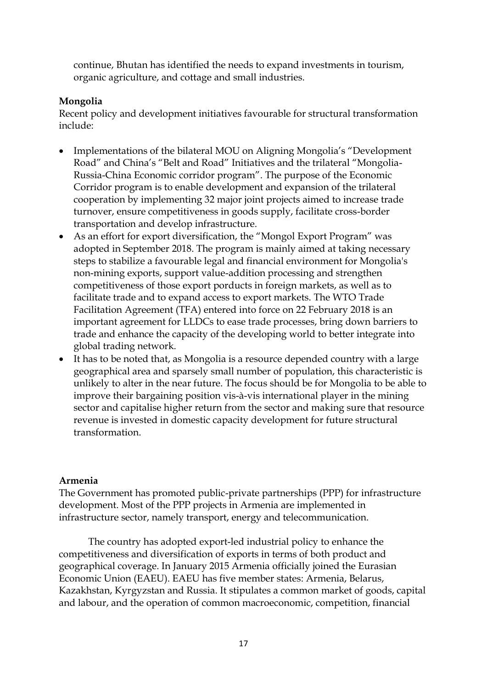continue, Bhutan has identified the needs to expand investments in tourism, organic agriculture, and cottage and small industries.

### **Mongolia**

Recent policy and development initiatives favourable for structural transformation include:

- Implementations of the bilateral MOU on Aligning Mongolia's "Development Road" and China's "Belt and Road" Initiatives and the trilateral "Mongolia-Russia-China Economic corridor program". The purpose of the Economic Corridor program is to enable development and expansion of the trilateral cooperation by implementing 32 major joint projects aimed to increase trade turnover, ensure competitiveness in goods supply, facilitate cross-border transportation and develop infrastructure.
- As an effort for export diversification, the "Mongol Export Program" was adopted in September 2018. The program is mainly aimed at taking necessary steps to stabilize a favourable legal and financial environment for Mongolia's non-mining exports, support value-addition processing and strengthen competitiveness of those export porducts in foreign markets, as well as to facilitate trade and to expand access to export markets. The WTO Trade Facilitation Agreement (TFA) entered into force on 22 February 2018 is an important agreement for LLDCs to ease trade processes, bring down barriers to trade and enhance the capacity of the developing world to better integrate into global trading network.
- It has to be noted that, as Mongolia is a resource depended country with a large geographical area and sparsely small number of population, this characteristic is unlikely to alter in the near future. The focus should be for Mongolia to be able to improve their bargaining position vis-à-vis international player in the mining sector and capitalise higher return from the sector and making sure that resource revenue is invested in domestic capacity development for future structural transformation.

#### **Armenia**

The Government has promoted public-private partnerships (PPP) for infrastructure development. Most of the PPP projects in Armenia are implemented in infrastructure sector, namely transport, energy and telecommunication.

The country has adopted export-led industrial policy to enhance the competitiveness and diversification of exports in terms of both product and geographical coverage. In January 2015 Armenia officially joined the Eurasian Economic Union (EAEU). EAEU has five member states: Armenia, Belarus, Kazakhstan, Kyrgyzstan and Russia. It stipulates a common market of goods, capital and labour, and the operation of common macroeconomic, competition, financial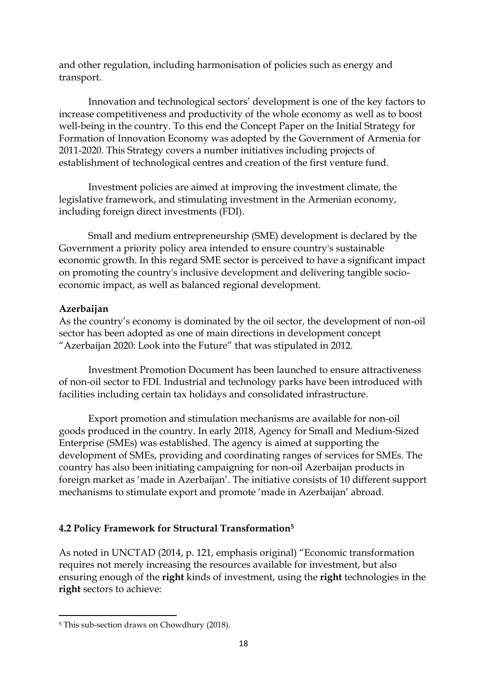and other regulation, including harmonisation of policies such as energy and transport.

Innovation and technological sectors' development is one of the key factors to increase competitiveness and productivity of the whole economy as well as to boost well-being in the country. To this end the Concept Paper on the Initial Strategy for Formation of Innovation Economy was adopted by the Government of Armenia for 2011-2020. This Strategy covers a number initiatives including projects of establishment of technological centres and creation of the first venture fund.

Investment policies are aimed at improving the investment climate, the legislative framework, and stimulating investment in the Armenian economy, including foreign direct investments (FDI).

Small and medium entrepreneurship (SME) development is declared by the Government a priority policy area intended to ensure country's sustainable economic growth. In this regard SME sector is perceived to have a significant impact on promoting the country's inclusive development and delivering tangible socioeconomic impact, as well as balanced regional development.

#### **Azerbaijan**

As the country's economy is dominated by the oil sector, the development of non-oil sector has been adopted as one of main directions in development concept "Azerbaijan 2020: Look into the Future" that was stipulated in 2012.

Investment Promotion Document has been launched to ensure attractiveness of non-oil sector to FDI. Industrial and technology parks have been introduced with facilities including certain tax holidays and consolidated infrastructure.

Export promotion and stimulation mechanisms are available for non-oil goods produced in the country. In early 2018, Agency for Small and Medium-Sized Enterprise (SMEs) was established. The agency is aimed at supporting the development of SMEs, providing and coordinating ranges of services for SMEs. The country has also been initiating campaigning for non-oil Azerbaijan products in foreign market as 'made in Azerbaijan'. The initiative consists of 10 different support mechanisms to stimulate export and promote 'made in Azerbaijan' abroad.

## **4.2 Policy Framework for Structural Transformation<sup>5</sup>**

As noted in UNCTAD (2014, p. 121, emphasis original) "Economic transformation requires not merely increasing the resources available for investment, but also ensuring enough of the **right** kinds of investment, using the **right** technologies in the **right** sectors to achieve:

<sup>1</sup> <sup>5</sup> This sub-section draws on Chowdhury (2018).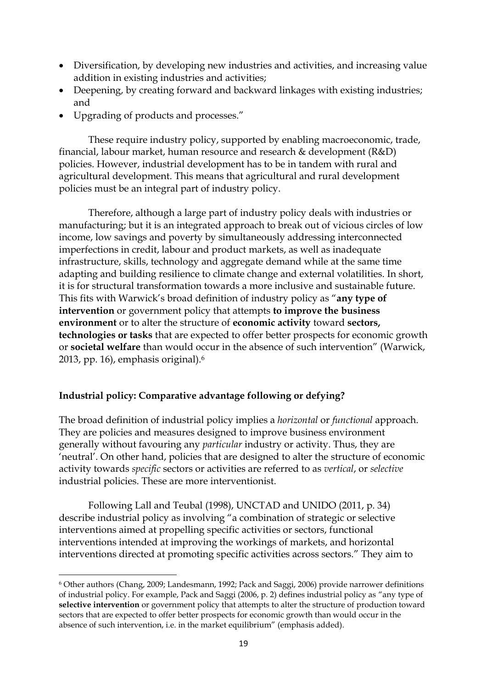- Diversification, by developing new industries and activities, and increasing value addition in existing industries and activities;
- Deepening, by creating forward and backward linkages with existing industries; and
- Upgrading of products and processes."

These require industry policy, supported by enabling macroeconomic, trade, financial, labour market, human resource and research & development (R&D) policies. However, industrial development has to be in tandem with rural and agricultural development. This means that agricultural and rural development policies must be an integral part of industry policy.

Therefore, although a large part of industry policy deals with industries or manufacturing; but it is an integrated approach to break out of vicious circles of low income, low savings and poverty by simultaneously addressing interconnected imperfections in credit, labour and product markets, as well as inadequate infrastructure, skills, technology and aggregate demand while at the same time adapting and building resilience to climate change and external volatilities. In short, it is for structural transformation towards a more inclusive and sustainable future. This fits with Warwick's broad definition of industry policy as "**any type of intervention** or government policy that attempts **to improve the business environment** or to alter the structure of **economic activity** toward **sectors, technologies or tasks** that are expected to offer better prospects for economic growth or **societal welfare** than would occur in the absence of such intervention" (Warwick, 2013, pp. 16), emphasis original).<sup>6</sup>

## **Industrial policy: Comparative advantage following or defying?**

**.** 

The broad definition of industrial policy implies a *horizontal* or *functional* approach. They are policies and measures designed to improve business environment generally without favouring any *particular* industry or activity. Thus, they are 'neutral'. On other hand, policies that are designed to alter the structure of economic activity towards *specific* sectors or activities are referred to as *vertical*, or *selective* industrial policies. These are more interventionist.

Following Lall and Teubal (1998), UNCTAD and UNIDO (2011, p. 34) describe industrial policy as involving "a combination of strategic or selective interventions aimed at propelling specific activities or sectors, functional interventions intended at improving the workings of markets, and horizontal interventions directed at promoting specific activities across sectors." They aim to

<sup>6</sup> Other authors (Chang, 2009; Landesmann, 1992; Pack and Saggi, 2006) provide narrower definitions of industrial policy. For example, Pack and Saggi (2006, p. 2) defines industrial policy as "any type of **selective intervention** or government policy that attempts to alter the structure of production toward sectors that are expected to offer better prospects for economic growth than would occur in the absence of such intervention, i.e. in the market equilibrium" (emphasis added).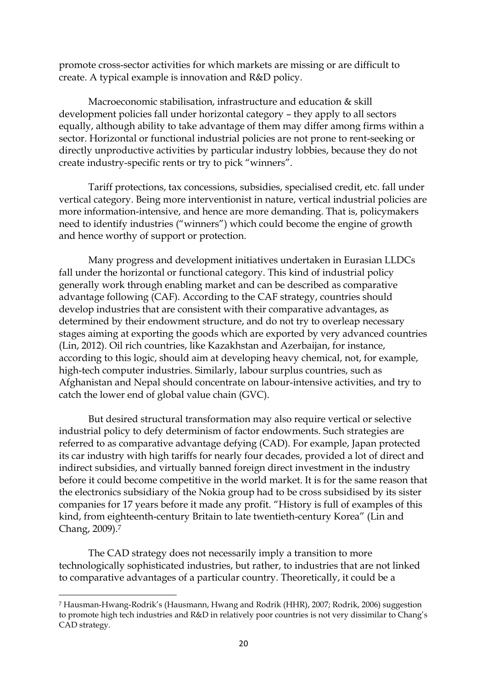promote cross-sector activities for which markets are missing or are difficult to create. A typical example is innovation and R&D policy.

Macroeconomic stabilisation, infrastructure and education & skill development policies fall under horizontal category – they apply to all sectors equally, although ability to take advantage of them may differ among firms within a sector. Horizontal or functional industrial policies are not prone to rent-seeking or directly unproductive activities by particular industry lobbies, because they do not create industry-specific rents or try to pick "winners".

Tariff protections, tax concessions, subsidies, specialised credit, etc. fall under vertical category. Being more interventionist in nature, vertical industrial policies are more information-intensive, and hence are more demanding. That is, policymakers need to identify industries ("winners") which could become the engine of growth and hence worthy of support or protection.

Many progress and development initiatives undertaken in Eurasian LLDCs fall under the horizontal or functional category. This kind of industrial policy generally work through enabling market and can be described as comparative advantage following (CAF). According to the CAF strategy, countries should develop industries that are consistent with their comparative advantages, as determined by their endowment structure, and do not try to overleap necessary stages aiming at exporting the goods which are exported by very advanced countries (Lin, 2012). Oil rich countries, like Kazakhstan and Azerbaijan, for instance, according to this logic, should aim at developing heavy chemical, not, for example, high-tech computer industries. Similarly, labour surplus countries, such as Afghanistan and Nepal should concentrate on labour-intensive activities, and try to catch the lower end of global value chain (GVC).

But desired structural transformation may also require vertical or selective industrial policy to defy determinism of factor endowments. Such strategies are referred to as comparative advantage defying (CAD). For example, Japan protected its car industry with high tariffs for nearly four decades, provided a lot of direct and indirect subsidies, and virtually banned foreign direct investment in the industry before it could become competitive in the world market. It is for the same reason that the electronics subsidiary of the Nokia group had to be cross subsidised by its sister companies for 17 years before it made any profit. "History is full of examples of this kind, from eighteenth-century Britain to late twentieth-century Korea" (Lin and Chang, 2009).<sup>7</sup>

The CAD strategy does not necessarily imply a transition to more technologically sophisticated industries, but rather, to industries that are not linked to comparative advantages of a particular country. Theoretically, it could be a

1

<sup>7</sup> Hausman-Hwang-Rodrik's (Hausmann, Hwang and Rodrik (HHR), 2007; Rodrik, 2006) suggestion to promote high tech industries and R&D in relatively poor countries is not very dissimilar to Chang's CAD strategy.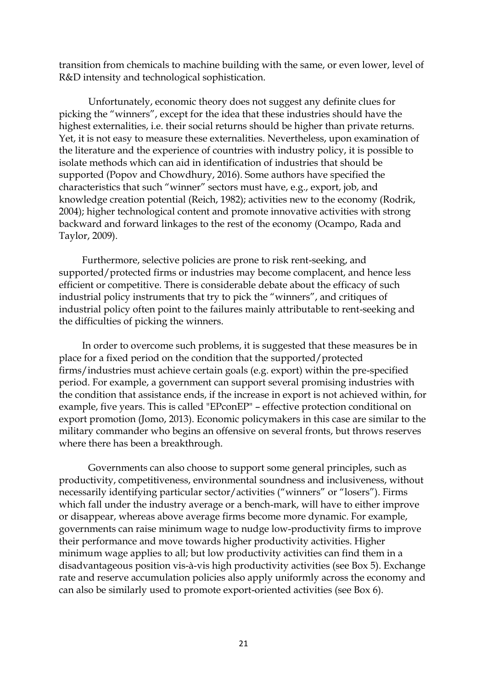transition from chemicals to machine building with the same, or even lower, level of R&D intensity and technological sophistication.

Unfortunately, economic theory does not suggest any definite clues for picking the "winners", except for the idea that these industries should have the highest externalities, i.e. their social returns should be higher than private returns. Yet, it is not easy to measure these externalities. Nevertheless, upon examination of the literature and the experience of countries with industry policy, it is possible to isolate methods which can aid in identification of industries that should be supported (Popov and Chowdhury, 2016). Some authors have specified the characteristics that such "winner" sectors must have, e.g., export, job, and knowledge creation potential (Reich, 1982); activities new to the economy (Rodrik, 2004); higher technological content and promote innovative activities with strong backward and forward linkages to the rest of the economy (Ocampo, Rada and Taylor, 2009).

Furthermore, selective policies are prone to risk rent-seeking, and supported/protected firms or industries may become complacent, and hence less efficient or competitive. There is considerable debate about the efficacy of such industrial policy instruments that try to pick the "winners", and critiques of industrial policy often point to the failures mainly attributable to rent-seeking and the difficulties of picking the winners.

In order to overcome such problems, it is suggested that these measures be in place for a fixed period on the condition that the supported/protected firms/industries must achieve certain goals (e.g. export) within the pre-specified period. For example, a government can support several promising industries with the condition that assistance ends, if the increase in export is not achieved within, for example, five years. This is called "EPconEP" – effective protection conditional on export promotion (Jomo, 2013). Economic policymakers in this case are similar to the military commander who begins an offensive on several fronts, but throws reserves where there has been a breakthrough.

Governments can also choose to support some general principles, such as productivity, competitiveness, environmental soundness and inclusiveness, without necessarily identifying particular sector/activities ("winners" or "losers"). Firms which fall under the industry average or a bench-mark, will have to either improve or disappear, whereas above average firms become more dynamic. For example, governments can raise minimum wage to nudge low-productivity firms to improve their performance and move towards higher productivity activities. Higher minimum wage applies to all; but low productivity activities can find them in a disadvantageous position vis-à-vis high productivity activities (see Box 5). Exchange rate and reserve accumulation policies also apply uniformly across the economy and can also be similarly used to promote export-oriented activities (see Box 6).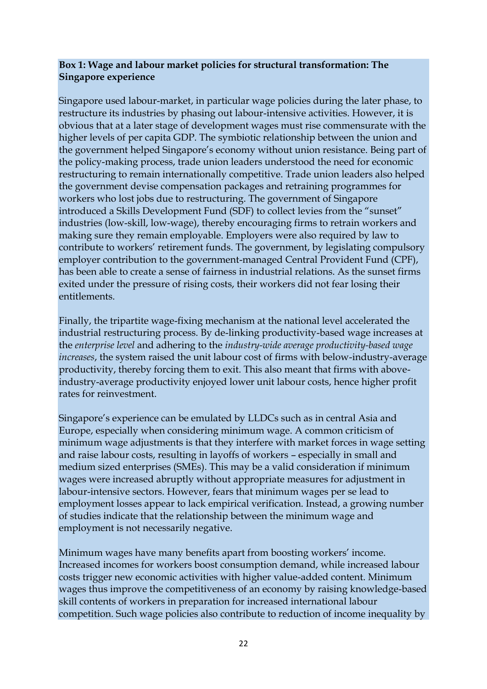#### **Box 1: Wage and labour market policies for structural transformation: The Singapore experience**

Singapore used labour-market, in particular wage policies during the later phase, to restructure its industries by phasing out labour-intensive activities. However, it is obvious that at a later stage of development wages must rise commensurate with the higher levels of per capita GDP. The symbiotic relationship between the union and the government helped Singapore's economy without union resistance. Being part of the policy-making process, trade union leaders understood the need for economic restructuring to remain internationally competitive. Trade union leaders also helped the government devise compensation packages and retraining programmes for workers who lost jobs due to restructuring. The government of Singapore introduced a Skills Development Fund (SDF) to collect levies from the "sunset" industries (low-skill, low-wage), thereby encouraging firms to retrain workers and making sure they remain employable. Employers were also required by law to contribute to workers' retirement funds. The government, by legislating compulsory employer contribution to the government-managed Central Provident Fund (CPF), has been able to create a sense of fairness in industrial relations. As the sunset firms exited under the pressure of rising costs, their workers did not fear losing their entitlements.

Finally, the tripartite wage-fixing mechanism at the national level accelerated the industrial restructuring process. By de-linking productivity-based wage increases at the *enterprise level* and adhering to the *industry-wide average productivity-based wage increases*, the system raised the unit labour cost of firms with below-industry-average productivity, thereby forcing them to exit. This also meant that firms with aboveindustry-average productivity enjoyed lower unit labour costs, hence higher profit rates for reinvestment.

Singapore's experience can be emulated by LLDCs such as in central Asia and Europe, especially when considering minimum wage. A common criticism of minimum wage adjustments is that they interfere with market forces in wage setting and raise labour costs, resulting in layoffs of workers – especially in small and medium sized enterprises (SMEs). This may be a valid consideration if minimum wages were increased abruptly without appropriate measures for adjustment in labour-intensive sectors. However, fears that minimum wages per se lead to employment losses appear to lack empirical verification. Instead, a growing number of studies indicate that the relationship between the minimum wage and employment is not necessarily negative.

Minimum wages have many benefits apart from boosting workers' income. Increased incomes for workers boost consumption demand, while increased labour costs trigger new economic activities with higher value-added content. Minimum wages thus improve the competitiveness of an economy by raising knowledge-based skill contents of workers in preparation for increased international labour competition. Such wage policies also contribute to reduction of income inequality by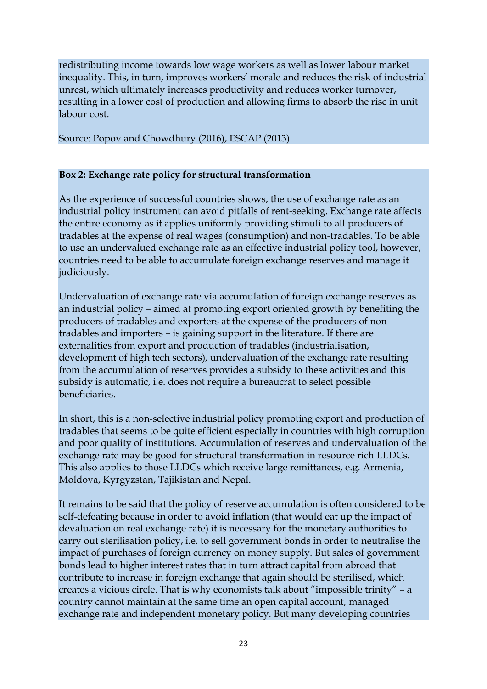redistributing income towards low wage workers as well as lower labour market inequality. This, in turn, improves workers' morale and reduces the risk of industrial unrest, which ultimately increases productivity and reduces worker turnover, resulting in a lower cost of production and allowing firms to absorb the rise in unit labour cost.

Source: Popov and Chowdhury (2016), ESCAP (2013).

### **Box 2: Exchange rate policy for structural transformation**

As the experience of successful countries shows, the use of exchange rate as an industrial policy instrument can avoid pitfalls of rent-seeking. Exchange rate affects the entire economy as it applies uniformly providing stimuli to all producers of tradables at the expense of real wages (consumption) and non-tradables. To be able to use an undervalued exchange rate as an effective industrial policy tool, however, countries need to be able to accumulate foreign exchange reserves and manage it judiciously.

Undervaluation of exchange rate via accumulation of foreign exchange reserves as an industrial policy – aimed at promoting export oriented growth by benefiting the producers of tradables and exporters at the expense of the producers of nontradables and importers – is gaining support in the literature. If there are externalities from export and production of tradables (industrialisation, development of high tech sectors), undervaluation of the exchange rate resulting from the accumulation of reserves provides a subsidy to these activities and this subsidy is automatic, i.e. does not require a bureaucrat to select possible beneficiaries.

In short, this is a non-selective industrial policy promoting export and production of tradables that seems to be quite efficient especially in countries with high corruption and poor quality of institutions. Accumulation of reserves and undervaluation of the exchange rate may be good for structural transformation in resource rich LLDCs. This also applies to those LLDCs which receive large remittances, e.g. Armenia, Moldova, Kyrgyzstan, Tajikistan and Nepal.

It remains to be said that the policy of reserve accumulation is often considered to be self-defeating because in order to avoid inflation (that would eat up the impact of devaluation on real exchange rate) it is necessary for the monetary authorities to carry out sterilisation policy, i.e. to sell government bonds in order to neutralise the impact of purchases of foreign currency on money supply. But sales of government bonds lead to higher interest rates that in turn attract capital from abroad that contribute to increase in foreign exchange that again should be sterilised, which creates a vicious circle. That is why economists talk about "impossible trinity" – a country cannot maintain at the same time an open capital account, managed exchange rate and independent monetary policy. But many developing countries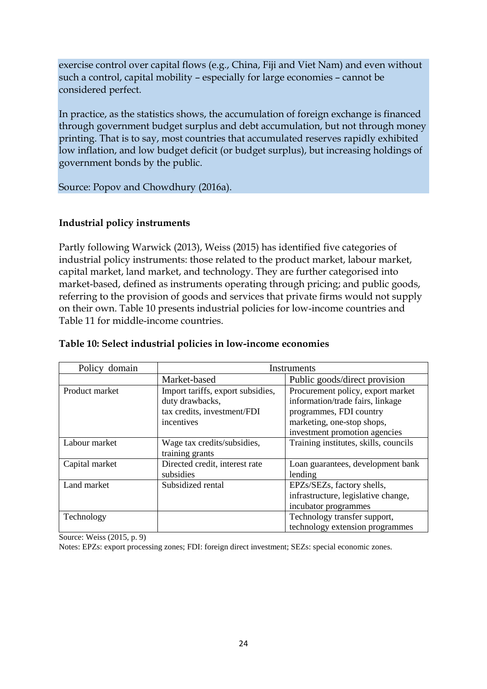exercise control over capital flows (e.g., China, Fiji and Viet Nam) and even without such a control, capital mobility – especially for large economies – cannot be considered perfect.

In practice, as the statistics shows, the accumulation of foreign exchange is financed through government budget surplus and debt accumulation, but not through money printing. That is to say, most countries that accumulated reserves rapidly exhibited low inflation, and low budget deficit (or budget surplus), but increasing holdings of government bonds by the public.

Source: Popov and Chowdhury (2016a).

#### **Industrial policy instruments**

Partly following Warwick (2013), Weiss (2015) has identified five categories of industrial policy instruments: those related to the product market, labour market, capital market, land market, and technology. They are further categorised into market-based, defined as instruments operating through pricing; and public goods, referring to the provision of goods and services that private firms would not supply on their own. Table 10 presents industrial policies for low-income countries and Table 11 for middle-income countries.

| Policy domain  | Instruments                                                                                       |                                                                                                                                                                 |  |  |  |
|----------------|---------------------------------------------------------------------------------------------------|-----------------------------------------------------------------------------------------------------------------------------------------------------------------|--|--|--|
|                | Market-based                                                                                      | Public goods/direct provision                                                                                                                                   |  |  |  |
| Product market | Import tariffs, export subsidies,<br>duty drawbacks,<br>tax credits, investment/FDI<br>incentives | Procurement policy, export market<br>information/trade fairs, linkage<br>programmes, FDI country<br>marketing, one-stop shops,<br>investment promotion agencies |  |  |  |
| Labour market  | Wage tax credits/subsidies,<br>training grants                                                    | Training institutes, skills, councils                                                                                                                           |  |  |  |
| Capital market | Directed credit, interest rate<br>subsidies                                                       | Loan guarantees, development bank<br>lending                                                                                                                    |  |  |  |
| Land market    | Subsidized rental                                                                                 | EPZs/SEZs, factory shells,<br>infrastructure, legislative change,<br>incubator programmes                                                                       |  |  |  |
| Technology     |                                                                                                   | Technology transfer support,<br>technology extension programmes                                                                                                 |  |  |  |

#### **Table 10: Select industrial policies in low-income economies**

Source: Weiss (2015, p. 9)

Notes: EPZs: export processing zones; FDI: foreign direct investment; SEZs: special economic zones.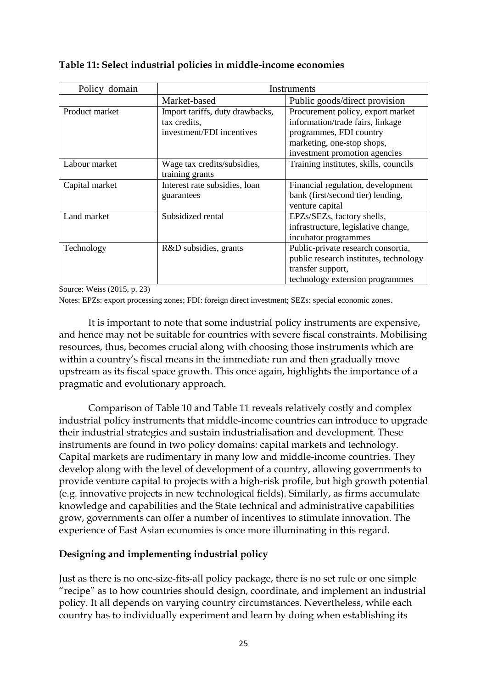| Policy domain  | Instruments                                                                  |                                                                                                                                                                 |  |  |  |
|----------------|------------------------------------------------------------------------------|-----------------------------------------------------------------------------------------------------------------------------------------------------------------|--|--|--|
|                | Market-based                                                                 | Public goods/direct provision                                                                                                                                   |  |  |  |
| Product market | Import tariffs, duty drawbacks,<br>tax credits,<br>investment/FDI incentives | Procurement policy, export market<br>information/trade fairs, linkage<br>programmes, FDI country<br>marketing, one-stop shops,<br>investment promotion agencies |  |  |  |
| Labour market  | Wage tax credits/subsidies,<br>training grants                               | Training institutes, skills, councils                                                                                                                           |  |  |  |
| Capital market | Interest rate subsidies, loan<br>guarantees                                  | Financial regulation, development<br>bank (first/second tier) lending,<br>venture capital                                                                       |  |  |  |
| Land market    | Subsidized rental                                                            | EPZs/SEZs, factory shells,<br>infrastructure, legislative change,<br>incubator programmes                                                                       |  |  |  |
| Technology     | R&D subsidies, grants                                                        | Public-private research consortia,<br>public research institutes, technology<br>transfer support,<br>technology extension programmes                            |  |  |  |

#### **Table 11: Select industrial policies in middle-income economies**

Source: Weiss (2015, p. 23)

Notes: EPZs: export processing zones; FDI: foreign direct investment; SEZs: special economic zones.

It is important to note that some industrial policy instruments are expensive, and hence may not be suitable for countries with severe fiscal constraints. Mobilising resources, thus, becomes crucial along with choosing those instruments which are within a country's fiscal means in the immediate run and then gradually move upstream as its fiscal space growth. This once again, highlights the importance of a pragmatic and evolutionary approach.

Comparison of Table 10 and Table 11 reveals relatively costly and complex industrial policy instruments that middle-income countries can introduce to upgrade their industrial strategies and sustain industrialisation and development. These instruments are found in two policy domains: capital markets and technology. Capital markets are rudimentary in many low and middle-income countries. They develop along with the level of development of a country, allowing governments to provide venture capital to projects with a high-risk profile, but high growth potential (e.g. innovative projects in new technological fields). Similarly, as firms accumulate knowledge and capabilities and the State technical and administrative capabilities grow, governments can offer a number of incentives to stimulate innovation. The experience of East Asian economies is once more illuminating in this regard.

## **Designing and implementing industrial policy**

Just as there is no one-size-fits-all policy package, there is no set rule or one simple "recipe" as to how countries should design, coordinate, and implement an industrial policy. It all depends on varying country circumstances. Nevertheless, while each country has to individually experiment and learn by doing when establishing its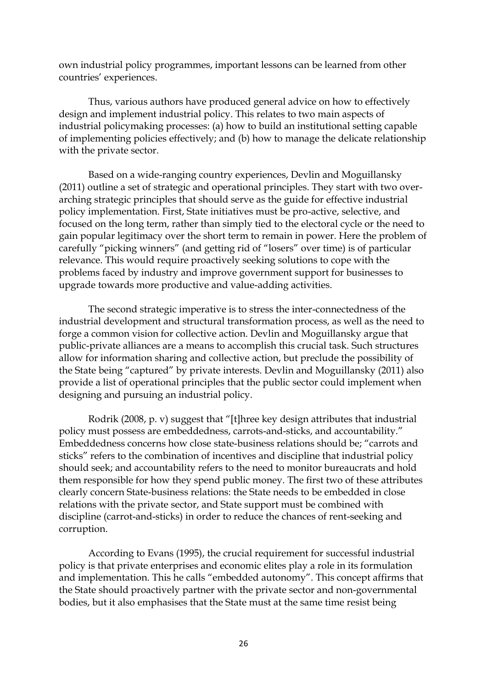own industrial policy programmes, important lessons can be learned from other countries' experiences.

Thus, various authors have produced general advice on how to effectively design and implement industrial policy. This relates to two main aspects of industrial policymaking processes: (a) how to build an institutional setting capable of implementing policies effectively; and (b) how to manage the delicate relationship with the private sector.

Based on a wide-ranging country experiences, Devlin and Moguillansky (2011) outline a set of strategic and operational principles. They start with two overarching strategic principles that should serve as the guide for effective industrial policy implementation. First, State initiatives must be pro-active, selective, and focused on the long term, rather than simply tied to the electoral cycle or the need to gain popular legitimacy over the short term to remain in power. Here the problem of carefully "picking winners" (and getting rid of "losers" over time) is of particular relevance. This would require proactively seeking solutions to cope with the problems faced by industry and improve government support for businesses to upgrade towards more productive and value-adding activities.

The second strategic imperative is to stress the inter-connectedness of the industrial development and structural transformation process, as well as the need to forge a common vision for collective action. Devlin and Moguillansky argue that public-private alliances are a means to accomplish this crucial task. Such structures allow for information sharing and collective action, but preclude the possibility of the State being "captured" by private interests. Devlin and Moguillansky (2011) also provide a list of operational principles that the public sector could implement when designing and pursuing an industrial policy.

Rodrik (2008, p. v) suggest that "[t]hree key design attributes that industrial policy must possess are embeddedness, carrots-and-sticks, and accountability." Embeddedness concerns how close state-business relations should be; "carrots and sticks" refers to the combination of incentives and discipline that industrial policy should seek; and accountability refers to the need to monitor bureaucrats and hold them responsible for how they spend public money. The first two of these attributes clearly concern State-business relations: the State needs to be embedded in close relations with the private sector, and State support must be combined with discipline (carrot-and-sticks) in order to reduce the chances of rent-seeking and corruption.

According to Evans (1995), the crucial requirement for successful industrial policy is that private enterprises and economic elites play a role in its formulation and implementation. This he calls "embedded autonomy". This concept affirms that the State should proactively partner with the private sector and non-governmental bodies, but it also emphasises that the State must at the same time resist being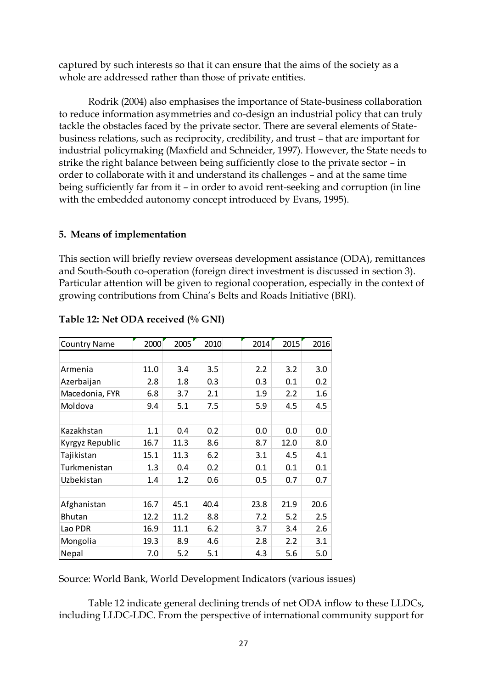captured by such interests so that it can ensure that the aims of the society as a whole are addressed rather than those of private entities.

Rodrik (2004) also emphasises the importance of State-business collaboration to reduce information asymmetries and co-design an industrial policy that can truly tackle the obstacles faced by the private sector. There are several elements of Statebusiness relations, such as reciprocity, credibility, and trust – that are important for industrial policymaking (Maxfield and Schneider, 1997). However, the State needs to strike the right balance between being sufficiently close to the private sector – in order to collaborate with it and understand its challenges – and at the same time being sufficiently far from it – in order to avoid rent-seeking and corruption (in line with the embedded autonomy concept introduced by Evans, 1995).

#### **5. Means of implementation**

This section will briefly review overseas development assistance (ODA), remittances and South-South co-operation (foreign direct investment is discussed in section 3). Particular attention will be given to regional cooperation, especially in the context of growing contributions from China's Belts and Roads Initiative (BRI).

| <b>Country Name</b> | 2000 | 2005 | 2010 | 2014 | 2015 | 2016    |
|---------------------|------|------|------|------|------|---------|
|                     |      |      |      |      |      |         |
| Armenia             | 11.0 | 3.4  | 3.5  | 2.2  | 3.2  | 3.0     |
| Azerbaijan          | 2.8  | 1.8  | 0.3  | 0.3  | 0.1  | 0.2     |
| Macedonia, FYR      | 6.8  | 3.7  | 2.1  | 1.9  | 2.2  | $1.6\,$ |
| Moldova             | 9.4  | 5.1  | 7.5  | 5.9  | 4.5  | 4.5     |
|                     |      |      |      |      |      |         |
| Kazakhstan          | 1.1  | 0.4  | 0.2  | 0.0  | 0.0  | 0.0     |
| Kyrgyz Republic     | 16.7 | 11.3 | 8.6  | 8.7  | 12.0 | 8.0     |
| Tajikistan          | 15.1 | 11.3 | 6.2  | 3.1  | 4.5  | 4.1     |
| Turkmenistan        | 1.3  | 0.4  | 0.2  | 0.1  | 0.1  | 0.1     |
| Uzbekistan          | 1.4  | 1.2  | 0.6  | 0.5  | 0.7  | 0.7     |
|                     |      |      |      |      |      |         |
| Afghanistan         | 16.7 | 45.1 | 40.4 | 23.8 | 21.9 | 20.6    |
| <b>Bhutan</b>       | 12.2 | 11.2 | 8.8  | 7.2  | 5.2  | 2.5     |
| Lao PDR             | 16.9 | 11.1 | 6.2  | 3.7  | 3.4  | 2.6     |
| Mongolia            | 19.3 | 8.9  | 4.6  | 2.8  | 2.2  | 3.1     |
| Nepal               | 7.0  | 5.2  | 5.1  | 4.3  | 5.6  | 5.0     |

#### **Table 12: Net ODA received (% GNI)**

Source: World Bank, World Development Indicators (various issues)

Table 12 indicate general declining trends of net ODA inflow to these LLDCs, including LLDC-LDC. From the perspective of international community support for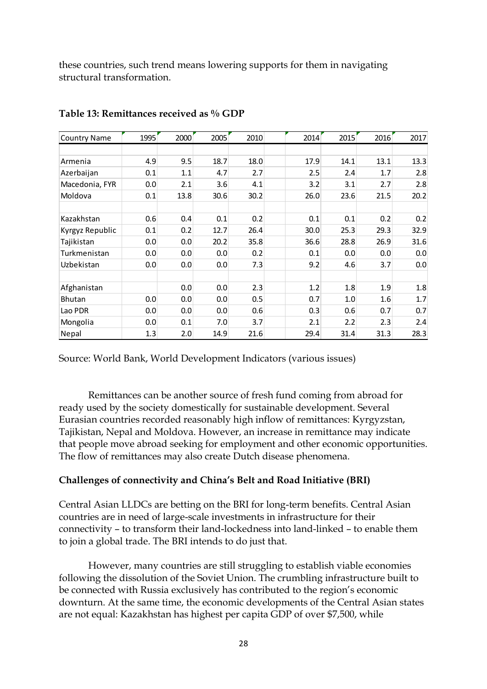these countries, such trend means lowering supports for them in navigating structural transformation.

| <b>Country Name</b> | 1995 | 2000 | 2005 | 2010 | 2014 | 2015 | 2016 | 2017 |
|---------------------|------|------|------|------|------|------|------|------|
|                     |      |      |      |      |      |      |      |      |
| Armenia             | 4.9  | 9.5  | 18.7 | 18.0 | 17.9 | 14.1 | 13.1 | 13.3 |
| Azerbaijan          | 0.1  | 1.1  | 4.7  | 2.7  | 2.5  | 2.4  | 1.7  | 2.8  |
| Macedonia, FYR      | 0.0  | 2.1  | 3.6  | 4.1  | 3.2  | 3.1  | 2.7  | 2.8  |
| Moldova             | 0.1  | 13.8 | 30.6 | 30.2 | 26.0 | 23.6 | 21.5 | 20.2 |
|                     |      |      |      |      |      |      |      |      |
| Kazakhstan          | 0.6  | 0.4  | 0.1  | 0.2  | 0.1  | 0.1  | 0.2  | 0.2  |
| Kyrgyz Republic     | 0.1  | 0.2  | 12.7 | 26.4 | 30.0 | 25.3 | 29.3 | 32.9 |
| Tajikistan          | 0.0  | 0.0  | 20.2 | 35.8 | 36.6 | 28.8 | 26.9 | 31.6 |
| Turkmenistan        | 0.0  | 0.0  | 0.0  | 0.2  | 0.1  | 0.0  | 0.0  | 0.0  |
| Uzbekistan          | 0.0  | 0.0  | 0.0  | 7.3  | 9.2  | 4.6  | 3.7  | 0.0  |
|                     |      |      |      |      |      |      |      |      |
| Afghanistan         |      | 0.0  | 0.0  | 2.3  | 1.2  | 1.8  | 1.9  | 1.8  |
| <b>Bhutan</b>       | 0.0  | 0.0  | 0.0  | 0.5  | 0.7  | 1.0  | 1.6  | 1.7  |
| Lao PDR             | 0.0  | 0.0  | 0.0  | 0.6  | 0.3  | 0.6  | 0.7  | 0.7  |
| Mongolia            | 0.0  | 0.1  | 7.0  | 3.7  | 2.1  | 2.2  | 2.3  | 2.4  |
| Nepal               | 1.3  | 2.0  | 14.9 | 21.6 | 29.4 | 31.4 | 31.3 | 28.3 |

#### **Table 13: Remittances received as % GDP**

Source: World Bank, World Development Indicators (various issues)

Remittances can be another source of fresh fund coming from abroad for ready used by the society domestically for sustainable development. Several Eurasian countries recorded reasonably high inflow of remittances: Kyrgyzstan, Tajikistan, Nepal and Moldova. However, an increase in remittance may indicate that people move abroad seeking for employment and other economic opportunities. The flow of remittances may also create Dutch disease phenomena.

#### **Challenges of connectivity and China's Belt and Road Initiative (BRI)**

Central Asian LLDCs are betting on the BRI for long-term benefits. Central Asian countries are in need of large-scale investments in infrastructure for their connectivity – to transform their land-lockedness into land-linked – to enable them to join a global trade. The BRI intends to do just that.

However, many countries are still struggling to establish viable economies following the dissolution of the Soviet Union. The crumbling infrastructure built to be connected with Russia exclusively has contributed to the region's economic downturn. At the same time, the economic developments of the Central Asian states are not equal: Kazakhstan has highest per capita GDP of over \$7,500, while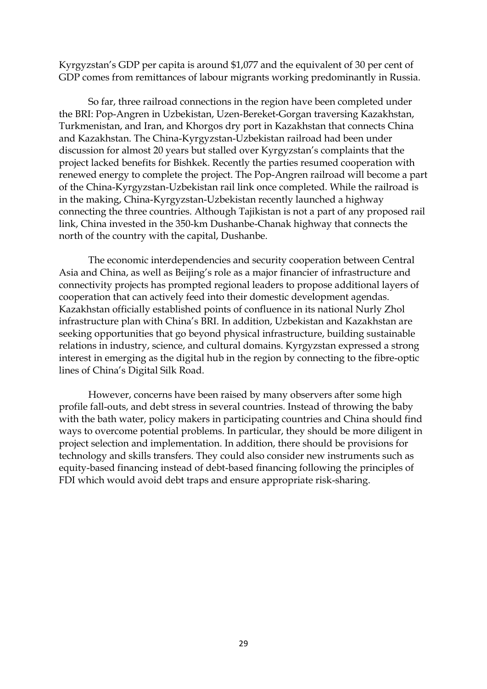Kyrgyzstan's GDP per capita is around \$1,077 and the equivalent of 30 per cent of GDP comes from remittances of labour migrants working predominantly in Russia.

So far, three railroad connections in the region have been completed under the BRI: Pop-Angren in Uzbekistan, Uzen-Bereket-Gorgan traversing Kazakhstan, Turkmenistan, and Iran, and Khorgos dry port in Kazakhstan that connects China and Kazakhstan. The China-Kyrgyzstan-Uzbekistan railroad had been under discussion for almost 20 years but stalled over Kyrgyzstan's complaints that the project lacked benefits for Bishkek. Recently the parties resumed cooperation with renewed energy to complete the project. The Pop-Angren railroad will become a part of the China-Kyrgyzstan-Uzbekistan rail link once completed. While the railroad is in the making, China-Kyrgyzstan-Uzbekistan recently launched a highway connecting the three countries. Although Tajikistan is not a part of any proposed rail link, China invested in the 350-km Dushanbe-Chanak highway that connects the north of the country with the capital, Dushanbe.

The economic interdependencies and security cooperation between Central Asia and China, as well as Beijing's role as a major financier of infrastructure and connectivity projects has prompted regional leaders to propose additional layers of cooperation that can actively feed into their domestic development agendas. Kazakhstan officially established points of confluence in its national Nurly Zhol infrastructure plan with China's BRI. In addition, Uzbekistan and Kazakhstan are seeking opportunities that go beyond physical infrastructure, building sustainable relations in industry, science, and cultural domains. Kyrgyzstan expressed a strong interest in emerging as the digital hub in the region by connecting to the fibre-optic lines of China's Digital Silk Road.

However, concerns have been raised by many observers after some high profile fall-outs, and debt stress in several countries. Instead of throwing the baby with the bath water, policy makers in participating countries and China should find ways to overcome potential problems. In particular, they should be more diligent in project selection and implementation. In addition, there should be provisions for technology and skills transfers. They could also consider new instruments such as equity-based financing instead of debt-based financing following the principles of FDI which would avoid debt traps and ensure appropriate risk-sharing.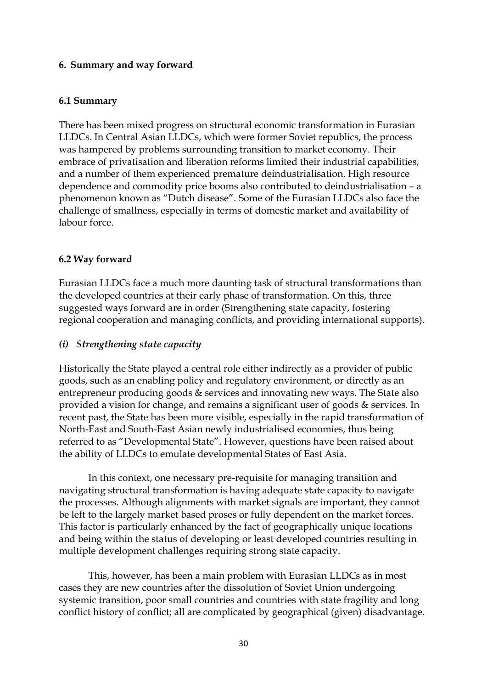#### **6. Summary and way forward**

#### **6.1 Summary**

There has been mixed progress on structural economic transformation in Eurasian LLDCs. In Central Asian LLDCs, which were former Soviet republics, the process was hampered by problems surrounding transition to market economy. Their embrace of privatisation and liberation reforms limited their industrial capabilities, and a number of them experienced premature deindustrialisation. High resource dependence and commodity price booms also contributed to deindustrialisation – a phenomenon known as "Dutch disease". Some of the Eurasian LLDCs also face the challenge of smallness, especially in terms of domestic market and availability of labour force.

## **6.2 Way forward**

Eurasian LLDCs face a much more daunting task of structural transformations than the developed countries at their early phase of transformation. On this, three suggested ways forward are in order (Strengthening state capacity, fostering regional cooperation and managing conflicts, and providing international supports).

## *(i) Strengthening state capacity*

Historically the State played a central role either indirectly as a provider of public goods, such as an enabling policy and regulatory environment, or directly as an entrepreneur producing goods & services and innovating new ways. The State also provided a vision for change, and remains a significant user of goods & services. In recent past, the State has been more visible, especially in the rapid transformation of North-East and South-East Asian newly industrialised economies, thus being referred to as "Developmental State". However, questions have been raised about the ability of LLDCs to emulate developmental States of East Asia.

In this context, one necessary pre-requisite for managing transition and navigating structural transformation is having adequate state capacity to navigate the processes. Although alignments with market signals are important, they cannot be left to the largely market based proses or fully dependent on the market forces. This factor is particularly enhanced by the fact of geographically unique locations and being within the status of developing or least developed countries resulting in multiple development challenges requiring strong state capacity.

This, however, has been a main problem with Eurasian LLDCs as in most cases they are new countries after the dissolution of Soviet Union undergoing systemic transition, poor small countries and countries with state fragility and long conflict history of conflict; all are complicated by geographical (given) disadvantage.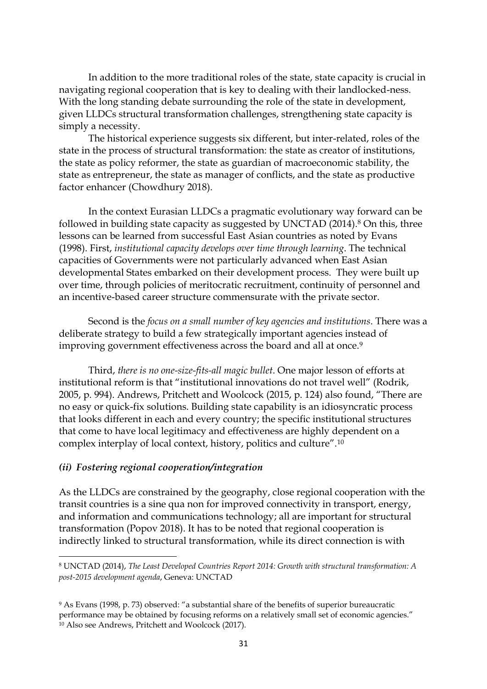In addition to the more traditional roles of the state, state capacity is crucial in navigating regional cooperation that is key to dealing with their landlocked-ness. With the long standing debate surrounding the role of the state in development, given LLDCs structural transformation challenges, strengthening state capacity is simply a necessity.

The historical experience suggests six different, but inter-related, roles of the state in the process of structural transformation: the state as creator of institutions, the state as policy reformer, the state as guardian of macroeconomic stability, the state as entrepreneur, the state as manager of conflicts, and the state as productive factor enhancer (Chowdhury 2018).

In the context Eurasian LLDCs a pragmatic evolutionary way forward can be followed in building state capacity as suggested by UNCTAD (2014).<sup>8</sup> On this, three lessons can be learned from successful East Asian countries as noted by Evans (1998). First, *institutional capacity develops over time through learning*. The technical capacities of Governments were not particularly advanced when East Asian developmental States embarked on their development process. They were built up over time, through policies of meritocratic recruitment, continuity of personnel and an incentive-based career structure commensurate with the private sector.

Second is the *focus on a small number of key agencies and institutions*. There was a deliberate strategy to build a few strategically important agencies instead of improving government effectiveness across the board and all at once.<sup>9</sup>

Third, *there is no one-size-fits-all magic bullet*. One major lesson of efforts at institutional reform is that "institutional innovations do not travel well" (Rodrik, 2005, p. 994). Andrews, Pritchett and Woolcock (2015, p. 124) also found, "There are no easy or quick-fix solutions. Building state capability is an idiosyncratic process that looks different in each and every country; the specific institutional structures that come to have local legitimacy and effectiveness are highly dependent on a complex interplay of local context, history, politics and culture".<sup>10</sup>

#### *(ii) Fostering regional cooperation/integration*

**.** 

As the LLDCs are constrained by the geography, close regional cooperation with the transit countries is a sine qua non for improved connectivity in transport, energy, and information and communications technology; all are important for structural transformation (Popov 2018). It has to be noted that regional cooperation is indirectly linked to structural transformation, while its direct connection is with

<sup>8</sup> UNCTAD (2014), *The Least Developed Countries Report 2014: Growth with structural transformation: A post-2015 development agenda*, Geneva: UNCTAD

<sup>9</sup> As Evans (1998, p. 73) observed: "a substantial share of the benefits of superior bureaucratic performance may be obtained by focusing reforms on a relatively small set of economic agencies." <sup>10</sup> Also see Andrews, Pritchett and Woolcock (2017).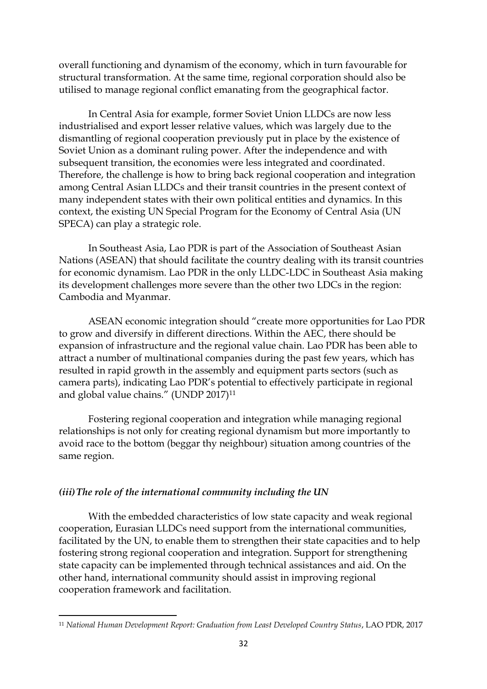overall functioning and dynamism of the economy, which in turn favourable for structural transformation. At the same time, regional corporation should also be utilised to manage regional conflict emanating from the geographical factor.

In Central Asia for example, former Soviet Union LLDCs are now less industrialised and export lesser relative values, which was largely due to the dismantling of regional cooperation previously put in place by the existence of Soviet Union as a dominant ruling power. After the independence and with subsequent transition, the economies were less integrated and coordinated. Therefore, the challenge is how to bring back regional cooperation and integration among Central Asian LLDCs and their transit countries in the present context of many independent states with their own political entities and dynamics. In this context, the existing UN Special Program for the Economy of Central Asia (UN SPECA) can play a strategic role.

In Southeast Asia, Lao PDR is part of the Association of Southeast Asian Nations (ASEAN) that should facilitate the country dealing with its transit countries for economic dynamism. Lao PDR in the only LLDC-LDC in Southeast Asia making its development challenges more severe than the other two LDCs in the region: Cambodia and Myanmar.

ASEAN economic integration should "create more opportunities for Lao PDR to grow and diversify in different directions. Within the AEC, there should be expansion of infrastructure and the regional value chain. Lao PDR has been able to attract a number of multinational companies during the past few years, which has resulted in rapid growth in the assembly and equipment parts sectors (such as camera parts), indicating Lao PDR's potential to effectively participate in regional and global value chains." (UNDP 2017)<sup>11</sup>

Fostering regional cooperation and integration while managing regional relationships is not only for creating regional dynamism but more importantly to avoid race to the bottom (beggar thy neighbour) situation among countries of the same region.

#### *(iii)The role of the international community including the UN*

1

With the embedded characteristics of low state capacity and weak regional cooperation, Eurasian LLDCs need support from the international communities, facilitated by the UN, to enable them to strengthen their state capacities and to help fostering strong regional cooperation and integration. Support for strengthening state capacity can be implemented through technical assistances and aid. On the other hand, international community should assist in improving regional cooperation framework and facilitation.

<sup>11</sup> *National Human Development Report: Graduation from Least Developed Country Status*, LAO PDR, 2017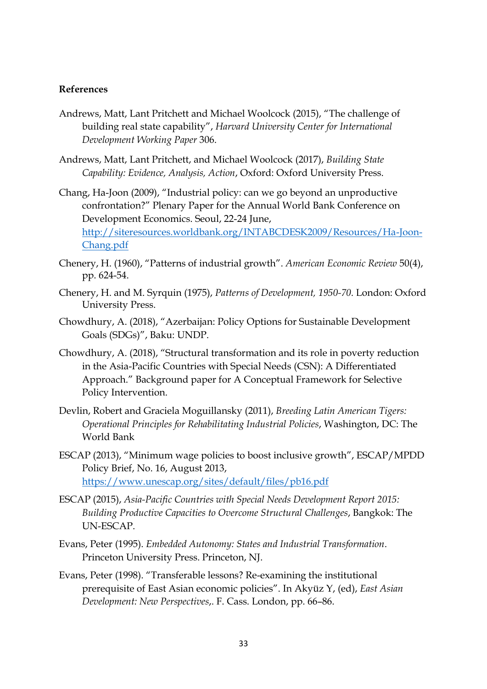#### **References**

- Andrews, Matt, Lant Pritchett and Michael Woolcock (2015), "The challenge of building real state capability", *Harvard University Center for International Development Working Paper* 306.
- Andrews, Matt, Lant Pritchett, and Michael Woolcock (2017), *Building State Capability: Evidence, Analysis, Action*, Oxford: Oxford University Press.
- Chang, Ha-Joon (2009), "Industrial policy: can we go beyond an unproductive confrontation?" Plenary Paper for the Annual World Bank Conference on Development Economics. Seoul, 22-24 June, [http://siteresources.worldbank.org/INTABCDESK2009/Resources/Ha-Joon-](http://siteresources.worldbank.org/INTABCDESK2009/Resources/Ha-Joon-Chang.pdf)[Chang.pdf](http://siteresources.worldbank.org/INTABCDESK2009/Resources/Ha-Joon-Chang.pdf)
- Chenery, H. (1960), "Patterns of industrial growth". *American Economic Review* 50(4), pp. 624-54.
- Chenery, H. and M. Syrquin (1975), *Patterns of Development, 1950-70*. London: Oxford University Press.
- Chowdhury, A. (2018), "Azerbaijan: Policy Options for Sustainable Development Goals (SDGs)", Baku: UNDP.
- Chowdhury, A. (2018), "Structural transformation and its role in poverty reduction in the Asia-Pacific Countries with Special Needs (CSN): A Differentiated Approach." Background paper for A Conceptual Framework for Selective Policy Intervention.
- Devlin, Robert and Graciela Moguillansky (2011), *Breeding Latin American Tigers: Operational Principles for Rehabilitating Industrial Policies*, Washington, DC: The World Bank
- ESCAP (2013), "Minimum wage policies to boost inclusive growth", ESCAP/MPDD Policy Brief, No. 16, August 2013, <https://www.unescap.org/sites/default/files/pb16.pdf>
- ESCAP (2015), *Asia-Pacific Countries with Special Needs Development Report 2015: Building Productive Capacities to Overcome Structural Challenges*, Bangkok: The UN-ESCAP.
- Evans, Peter (1995). *Embedded Autonomy: States and Industrial Transformation*. Princeton University Press. Princeton, NJ.
- Evans, Peter (1998). "Transferable lessons? Re-examining the institutional prerequisite of East Asian economic policies". In Akyüz Y, (ed), *East Asian Development: New Perspectives*,. F. Cass. London, pp. 66–86.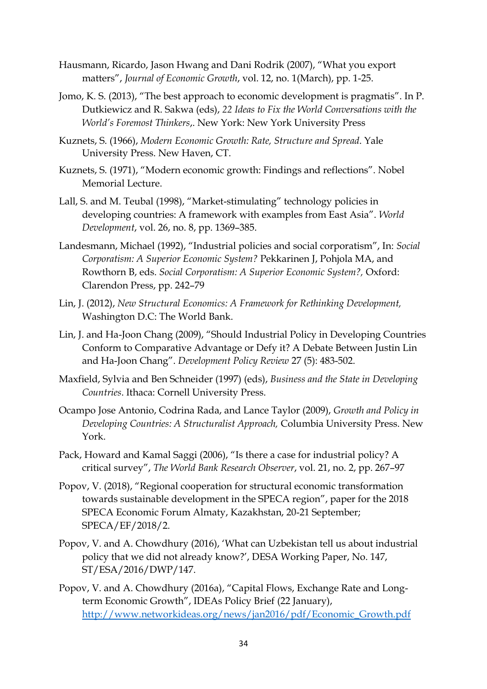- Hausmann, Ricardo, Jason Hwang and Dani Rodrik (2007), "What you export matters", *Journal of Economic Growth*, vol. 12, no. 1(March), pp. 1-25.
- Jomo, K. S. (2013), "The best approach to economic development is pragmatis". In P. Dutkiewicz and R. Sakwa (eds), *22 Ideas to Fix the World Conversations with the World's Foremost Thinkers*,. New York: New York University Press
- Kuznets, S. (1966), *Modern Economic Growth: Rate, Structure and Spread*. Yale University Press. New Haven, CT.
- Kuznets, S. (1971), "Modern economic growth: Findings and reflections". Nobel Memorial Lecture.
- Lall, S. and M. Teubal (1998), "Market-stimulating" technology policies in developing countries: A framework with examples from East Asia". *World Development*, vol. 26, no. 8, pp. 1369–385.
- Landesmann, Michael (1992), "Industrial policies and social corporatism", In: *Social Corporatism: A Superior Economic System?* Pekkarinen J, Pohjola MA, and Rowthorn B, eds. *Social Corporatism: A Superior Economic System?,* Oxford: Clarendon Press, pp. 242–79
- Lin, J. (2012), *New Structural Economics: A Framework for Rethinking Development,* Washington D.C: The World Bank.
- Lin, J. and Ha-Joon Chang (2009), "Should Industrial Policy in Developing Countries Conform to Comparative Advantage or Defy it? A Debate Between Justin Lin and Ha-Joon Chang". *Development Policy Review* 27 (5): 483-502.
- Maxfield, Sylvia and Ben Schneider (1997) (eds), *Business and the State in Developing Countries*. Ithaca: Cornell University Press.
- Ocampo Jose Antonio, Codrina Rada, and Lance Taylor (2009), *Growth and Policy in Developing Countries: A Structuralist Approach,* Columbia University Press. New York.
- Pack, Howard and Kamal Saggi (2006), "Is there a case for industrial policy? A critical survey", *The World Bank Research Observer*, vol. 21, no. 2, pp. 267–97
- Popov, V. (2018), "Regional cooperation for structural economic transformation towards sustainable development in the SPECA region", paper for the 2018 SPECA Economic Forum Almaty, Kazakhstan, 20-21 September; SPECA/EF/2018/2.
- Popov, V. and A. Chowdhury (2016), 'What can Uzbekistan tell us about industrial policy that we did not already know?', DESA Working Paper, No. 147, ST/ESA/2016/DWP/147.
- Popov, V. and A. Chowdhury (2016a), "Capital Flows, Exchange Rate and Longterm Economic Growth", IDEAs Policy Brief (22 January), [http://www.networkideas.org/news/jan2016/pdf/Economic\\_Growth.pdf](http://www.networkideas.org/news/jan2016/pdf/Economic_Growth.pdf)